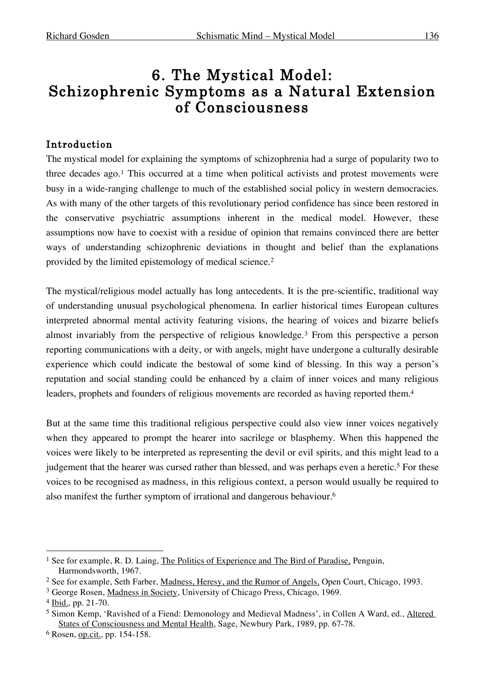# 6. The Mystical Model: Schizophrenic Symptoms as a Natural Extension of Consciousness

### Introduction

The mystical model for explaining the symptoms of schizophrenia had a surge of popularity two to three decades ago.<sup>1</sup> This occurred at a time when political activists and protest movements were busy in a wide-ranging challenge to much of the established social policy in western democracies. As with many of the other targets of this revolutionary period confidence has since been restored in the conservative psychiatric assumptions inherent in the medical model. However, these assumptions now have to coexist with a residue of opinion that remains convinced there are better ways of understanding schizophrenic deviations in thought and belief than the explanations provided by the limited epistemology of medical science. 2

The mystical/religious model actually has long antecedents. It is the pre-scientific, traditional way of understanding unusual psychological phenomena. In earlier historical times European cultures interpreted abnormal mental activity featuring visions, the hearing of voices and bizarre beliefs almost invariably from the perspective of religious knowledge.3 From this perspective a person reporting communications with a deity, or with angels, might have undergone a culturally desirable experience which could indicate the bestowal of some kind of blessing. In this way a person's reputation and social standing could be enhanced by a claim of inner voices and many religious leaders, prophets and founders of religious movements are recorded as having reported them. 4

But at the same time this traditional religious perspective could also view inner voices negatively when they appeared to prompt the hearer into sacrilege or blasphemy. When this happened the voices were likely to be interpreted as representing the devil or evil spirits, and this might lead to a judgement that the hearer was cursed rather than blessed, and was perhaps even a heretic.<sup>5</sup> For these voices to be recognised as madness, in this religious context, a person would usually be required to also manifest the further symptom of irrational and dangerous behaviour. 6

<sup>&</sup>lt;sup>1</sup> See for example, R. D. Laing, The Politics of Experience and The Bird of Paradise, Penguin, Harmondsworth, 1967.

<sup>&</sup>lt;sup>2</sup> See for example, Seth Farber, Madness, Heresy, and the Rumor of Angels, Open Court, Chicago, 1993.

<sup>&</sup>lt;sup>3</sup> George Rosen, Madness in Society, University of Chicago Press, Chicago, 1969.

<sup>4</sup> Ibid., pp. 21-70.

<sup>5</sup> Simon Kemp, 'Ravished of a Fiend: Demonology and Medieval Madness', in Collen A Ward, ed., Altered States of Consciousness and Mental Health, Sage, Newbury Park, 1989, pp. 67-78.

<sup>6</sup> Rosen, op.cit., pp. 154-158.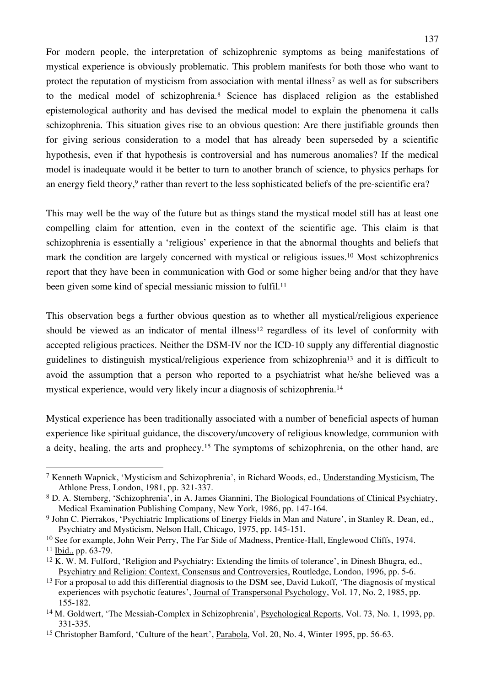For modern people, the interpretation of schizophrenic symptoms as being manifestations of mystical experience is obviously problematic. This problem manifests for both those who want to protect the reputation of mysticism from association with mental illness<sup>7</sup> as well as for subscribers to the medical model of schizophrenia. <sup>8</sup> Science has displaced religion as the established epistemological authority and has devised the medical model to explain the phenomena it calls schizophrenia. This situation gives rise to an obvious question: Are there justifiable grounds then for giving serious consideration to a model that has already been superseded by a scientific hypothesis, even if that hypothesis is controversial and has numerous anomalies? If the medical model is inadequate would it be better to turn to another branch of science, to physics perhaps for an energy field theory,<sup>9</sup> rather than revert to the less sophisticated beliefs of the pre-scientific era?

This may well be the way of the future but as things stand the mystical model still has at least one compelling claim for attention, even in the context of the scientific age. This claim is that schizophrenia is essentially a 'religious' experience in that the abnormal thoughts and beliefs that mark the condition are largely concerned with mystical or religious issues.10 Most schizophrenics report that they have been in communication with God or some higher being and/or that they have been given some kind of special messianic mission to fulfil.<sup>11</sup>

This observation begs a further obvious question as to whether all mystical/religious experience should be viewed as an indicator of mental illness<sup>12</sup> regardless of its level of conformity with accepted religious practices. Neither the DSM-IV nor the ICD-10 supply any differential diagnostic guidelines to distinguish mystical/religious experience from schizophrenia13 and it is difficult to avoid the assumption that a person who reported to a psychiatrist what he/she believed was a mystical experience, would very likely incur a diagnosis of schizophrenia. 14

Mystical experience has been traditionally associated with a number of beneficial aspects of human experience like spiritual guidance, the discovery/uncovery of religious knowledge, communion with a deity, healing, the arts and prophecy.15 The symptoms of schizophrenia, on the other hand, are

 <sup>7</sup> Kenneth Wapnick, 'Mysticism and Schizophrenia', in Richard Woods, ed., Understanding Mysticism, The Athlone Press, London, 1981, pp. 321-337.

<sup>8</sup> D. A. Sternberg, 'Schizophrenia', in A. James Giannini, The Biological Foundations of Clinical Psychiatry, Medical Examination Publishing Company, New York, 1986, pp. 147-164.

<sup>9</sup> John C. Pierrakos, 'Psychiatric Implications of Energy Fields in Man and Nature', in Stanley R. Dean, ed., Psychiatry and Mysticism, Nelson Hall, Chicago, 1975, pp. 145-151.

<sup>10</sup> See for example, John Weir Perry, The Far Side of Madness, Prentice-Hall, Englewood Cliffs, 1974. <sup>11</sup> Ibid., pp. 63-79.

<sup>&</sup>lt;sup>12</sup> K. W. M. Fulford, 'Religion and Psychiatry: Extending the limits of tolerance', in Dinesh Bhugra, ed., Psychiatry and Religion: Context, Consensus and Controversies, Routledge, London, 1996, pp. 5-6.

<sup>&</sup>lt;sup>13</sup> For a proposal to add this differential diagnosis to the DSM see, David Lukoff, 'The diagnosis of mystical experiences with psychotic features', Journal of Transpersonal Psychology, Vol. 17, No. 2, 1985, pp. 155-182.

<sup>&</sup>lt;sup>14</sup> M. Goldwert, 'The Messiah-Complex in Schizophrenia', Psychological Reports, Vol. 73, No. 1, 1993, pp. 331-335.

<sup>&</sup>lt;sup>15</sup> Christopher Bamford, 'Culture of the heart', Parabola, Vol. 20, No. 4, Winter 1995, pp. 56-63.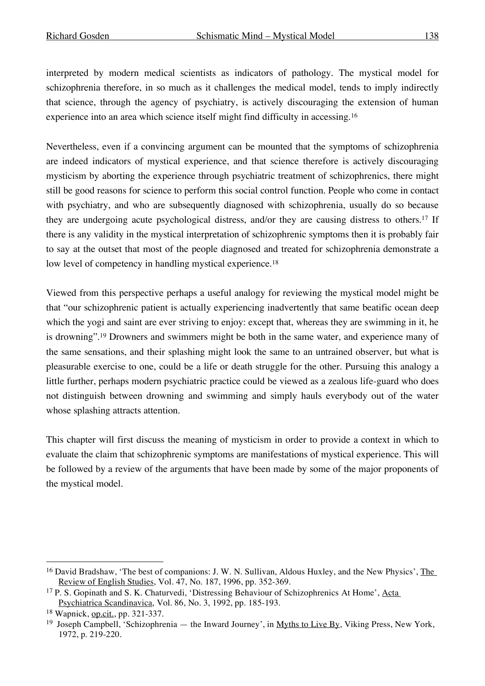interpreted by modern medical scientists as indicators of pathology. The mystical model for schizophrenia therefore, in so much as it challenges the medical model, tends to imply indirectly that science, through the agency of psychiatry, is actively discouraging the extension of human experience into an area which science itself might find difficulty in accessing.16

Nevertheless, even if a convincing argument can be mounted that the symptoms of schizophrenia are indeed indicators of mystical experience, and that science therefore is actively discouraging mysticism by aborting the experience through psychiatric treatment of schizophrenics, there might still be good reasons for science to perform this social control function. People who come in contact with psychiatry, and who are subsequently diagnosed with schizophrenia, usually do so because they are undergoing acute psychological distress, and/or they are causing distress to others. <sup>17</sup> If there is any validity in the mystical interpretation of schizophrenic symptoms then it is probably fair to say at the outset that most of the people diagnosed and treated for schizophrenia demonstrate a low level of competency in handling mystical experience.<sup>18</sup>

Viewed from this perspective perhaps a useful analogy for reviewing the mystical model might be that "our schizophrenic patient is actually experiencing inadvertently that same beatific ocean deep which the yogi and saint are ever striving to enjoy: except that, whereas they are swimming in it, he is drowning". <sup>19</sup> Drowners and swimmers might be both in the same water, and experience many of the same sensations, and their splashing might look the same to an untrained observer, but what is pleasurable exercise to one, could be a life or death struggle for the other. Pursuing this analogy a little further, perhaps modern psychiatric practice could be viewed as a zealous life-guard who does not distinguish between drowning and swimming and simply hauls everybody out of the water whose splashing attracts attention.

This chapter will first discuss the meaning of mysticism in order to provide a context in which to evaluate the claim that schizophrenic symptoms are manifestations of mystical experience. This will be followed by a review of the arguments that have been made by some of the major proponents of the mystical model.

<sup>&</sup>lt;sup>16</sup> David Bradshaw, 'The best of companions: J. W. N. Sullivan, Aldous Huxley, and the New Physics', The Review of English Studies, Vol. 47, No. 187, 1996, pp. 352-369.

<sup>&</sup>lt;sup>17</sup> P. S. Gopinath and S. K. Chaturvedi, 'Distressing Behaviour of Schizophrenics At Home', Acta Psychiatrica Scandinavica, Vol. 86, No. 3, 1992, pp. 185-193.

<sup>18</sup> Wapnick, op.cit., pp. 321-337.

<sup>&</sup>lt;sup>19</sup> Joseph Campbell, 'Schizophrenia — the Inward Journey', in  $Myths$  to Live By, Viking Press, New York, 1972, p. 219-220.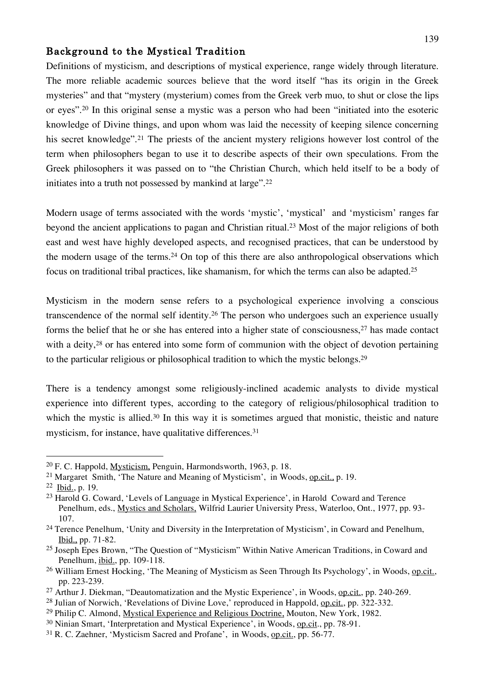### Background to the Mystical Tradition

Definitions of mysticism, and descriptions of mystical experience, range widely through literature. The more reliable academic sources believe that the word itself "has its origin in the Greek mysteries" and that "mystery (mysterium) comes from the Greek verb muo, to shut or close the lips or eyes".20 In this original sense a mystic was a person who had been "initiated into the esoteric knowledge of Divine things, and upon whom was laid the necessity of keeping silence concerning his secret knowledge".<sup>21</sup> The priests of the ancient mystery religions however lost control of the term when philosophers began to use it to describe aspects of their own speculations. From the Greek philosophers it was passed on to "the Christian Church, which held itself to be a body of initiates into a truth not possessed by mankind at large".22

Modern usage of terms associated with the words 'mystic', 'mystical' and 'mysticism' ranges far beyond the ancient applications to pagan and Christian ritual. <sup>23</sup> Most of the major religions of both east and west have highly developed aspects, and recognised practices, that can be understood by the modern usage of the terms. <sup>24</sup> On top of this there are also anthropological observations which focus on traditional tribal practices, like shamanism, for which the terms can also be adapted.25

Mysticism in the modern sense refers to a psychological experience involving a conscious transcendence of the normal self identity.26 The person who undergoes such an experience usually forms the belief that he or she has entered into a higher state of consciousness,27 has made contact with a deity,<sup>28</sup> or has entered into some form of communion with the object of devotion pertaining to the particular religious or philosophical tradition to which the mystic belongs.<sup>29</sup>

There is a tendency amongst some religiously-inclined academic analysts to divide mystical experience into different types, according to the category of religious/philosophical tradition to which the mystic is allied.<sup>30</sup> In this way it is sometimes argued that monistic, theistic and nature mysticism, for instance, have qualitative differences.<sup>31</sup>

 <sup>20</sup> F. C. Happold, Mysticism, Penguin, Harmondsworth, 1963, p. 18.

<sup>21</sup> Margaret Smith, 'The Nature and Meaning of Mysticism', in Woods, op.cit., p. 19.

<sup>22</sup> Ibid., p. 19.

<sup>23</sup> Harold G. Coward, 'Levels of Language in Mystical Experience', in Harold Coward and Terence Penelhum, eds., Mystics and Scholars, Wilfrid Laurier University Press, Waterloo, Ont., 1977, pp. 93- 107.

<sup>24</sup> Terence Penelhum, 'Unity and Diversity in the Interpretation of Mysticism', in Coward and Penelhum, Ibid., pp. 71-82.

<sup>25</sup> Joseph Epes Brown, "The Question of "Mysticism" Within Native American Traditions, in Coward and Penelhum, ibid., pp. 109-118.

<sup>&</sup>lt;sup>26</sup> William Ernest Hocking, 'The Meaning of Mysticism as Seen Through Its Psychology', in Woods, <u>op.cit.</u>, pp. 223-239.

<sup>&</sup>lt;sup>27</sup> Arthur J. Diekman, "Deautomatization and the Mystic Experience', in Woods, <u>op.cit.</u>, pp. 240-269.

<sup>28</sup> Julian of Norwich, 'Revelations of Divine Love,' reproduced in Happold, op.cit., pp. 322-332.

<sup>29</sup> Philip C. Almond, Mystical Experience and Religious Doctrine, Mouton, New York, 1982.

<sup>&</sup>lt;sup>30</sup> Ninian Smart, 'Interpretation and Mystical Experience', in Woods, <u>op.cit.,</u> pp. 78-91.

<sup>&</sup>lt;sup>31</sup> R. C. Zaehner, 'Mysticism Sacred and Profane', in Woods, <u>op.cit.</u>, pp. 56-77.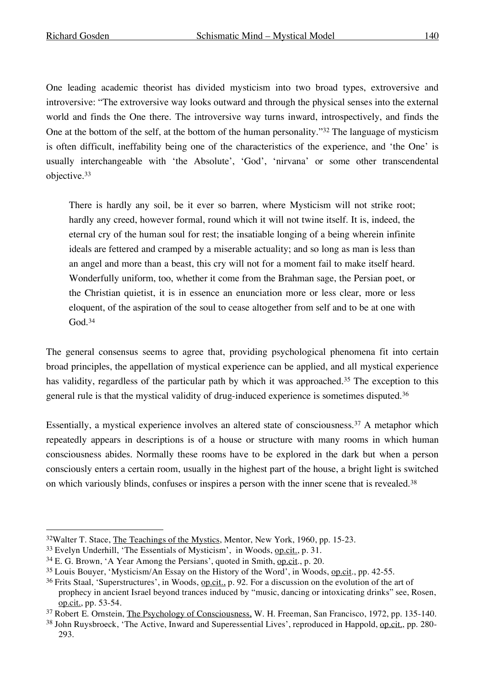One leading academic theorist has divided mysticism into two broad types, extroversive and introversive: "The extroversive way looks outward and through the physical senses into the external world and finds the One there. The introversive way turns inward, introspectively, and finds the One at the bottom of the self, at the bottom of the human personality."32 The language of mysticism is often difficult, ineffability being one of the characteristics of the experience, and 'the One' is usually interchangeable with 'the Absolute', 'God', 'nirvana' or some other transcendental objective. 33

There is hardly any soil, be it ever so barren, where Mysticism will not strike root; hardly any creed, however formal, round which it will not twine itself. It is, indeed, the eternal cry of the human soul for rest; the insatiable longing of a being wherein infinite ideals are fettered and cramped by a miserable actuality; and so long as man is less than an angel and more than a beast, this cry will not for a moment fail to make itself heard. Wonderfully uniform, too, whether it come from the Brahman sage, the Persian poet, or the Christian quietist, it is in essence an enunciation more or less clear, more or less eloquent, of the aspiration of the soul to cease altogether from self and to be at one with  $God.<sup>34</sup>$ 

The general consensus seems to agree that, providing psychological phenomena fit into certain broad principles, the appellation of mystical experience can be applied, and all mystical experience has validity, regardless of the particular path by which it was approached.<sup>35</sup> The exception to this general rule is that the mystical validity of drug-induced experience is sometimes disputed.36

Essentially, a mystical experience involves an altered state of consciousness.37 A metaphor which repeatedly appears in descriptions is of a house or structure with many rooms in which human consciousness abides. Normally these rooms have to be explored in the dark but when a person consciously enters a certain room, usually in the highest part of the house, a bright light is switched on which variously blinds, confuses or inspires a person with the inner scene that is revealed.38

 <sup>32</sup>Walter T. Stace, The Teachings of the Mystics, Mentor, New York, 1960, pp. 15-23.

<sup>33</sup> Evelyn Underhill, 'The Essentials of Mysticism', in Woods, op.cit., p. 31.

<sup>34</sup> E. G. Brown, 'A Year Among the Persians', quoted in Smith, op.cit., p. 20.

<sup>&</sup>lt;sup>35</sup> Louis Bouyer, 'Mysticism/An Essay on the History of the Word', in Woods, <u>op.cit</u>., pp. 42-55.

<sup>&</sup>lt;sup>36</sup> Frits Staal, 'Superstructures', in Woods, <u>op.cit.,</u> p. 92. For a discussion on the evolution of the art of prophecy in ancient Israel beyond trances induced by "music, dancing or intoxicating drinks" see, Rosen, op.cit., pp. 53-54.

<sup>37</sup> Robert E. Ornstein, The Psychology of Consciousness, W. H. Freeman, San Francisco, 1972, pp. 135-140.

<sup>&</sup>lt;sup>38</sup> John Ruysbroeck, 'The Active, Inward and Superessential Lives', reproduced in Happold, op.cit., pp. 280-293.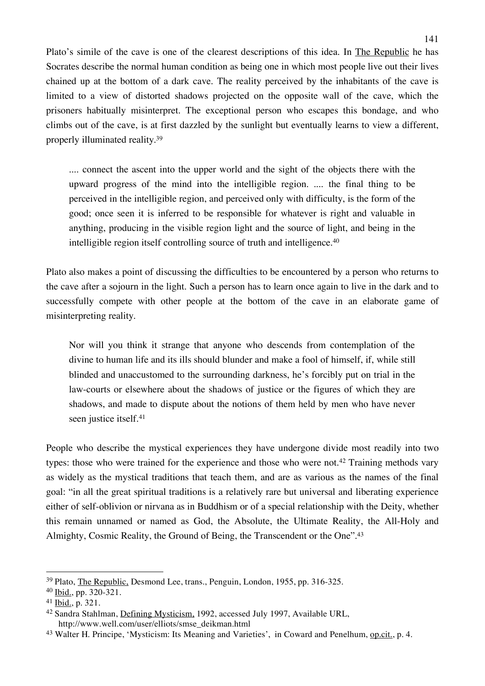Plato's simile of the cave is one of the clearest descriptions of this idea. In The Republic he has Socrates describe the normal human condition as being one in which most people live out their lives chained up at the bottom of a dark cave. The reality perceived by the inhabitants of the cave is limited to a view of distorted shadows projected on the opposite wall of the cave, which the prisoners habitually misinterpret. The exceptional person who escapes this bondage, and who climbs out of the cave, is at first dazzled by the sunlight but eventually learns to view a different, properly illuminated reality. 39

.... connect the ascent into the upper world and the sight of the objects there with the upward progress of the mind into the intelligible region. .... the final thing to be perceived in the intelligible region, and perceived only with difficulty, is the form of the good; once seen it is inferred to be responsible for whatever is right and valuable in anything, producing in the visible region light and the source of light, and being in the intelligible region itself controlling source of truth and intelligence. 40

Plato also makes a point of discussing the difficulties to be encountered by a person who returns to the cave after a sojourn in the light. Such a person has to learn once again to live in the dark and to successfully compete with other people at the bottom of the cave in an elaborate game of misinterpreting reality.

Nor will you think it strange that anyone who descends from contemplation of the divine to human life and its ills should blunder and make a fool of himself, if, while still blinded and unaccustomed to the surrounding darkness, he's forcibly put on trial in the law-courts or elsewhere about the shadows of justice or the figures of which they are shadows, and made to dispute about the notions of them held by men who have never seen justice itself. 41

People who describe the mystical experiences they have undergone divide most readily into two types: those who were trained for the experience and those who were not. <sup>42</sup> Training methods vary as widely as the mystical traditions that teach them, and are as various as the names of the final goal: "in all the great spiritual traditions is a relatively rare but universal and liberating experience either of self-oblivion or nirvana as in Buddhism or of a special relationship with the Deity, whether this remain unnamed or named as God, the Absolute, the Ultimate Reality, the All-Holy and Almighty, Cosmic Reality, the Ground of Being, the Transcendent or the One".<sup>43</sup>

 <sup>39</sup> Plato, The Republic, Desmond Lee, trans., Penguin, London, 1955, pp. 316-325.

<sup>40</sup> Ibid., pp. 320-321.

<sup>41</sup> Ibid., p. 321.

<sup>42</sup> Sandra Stahlman, Defining Mysticism, 1992, accessed July 1997, Available URL, http://www.well.com/user/elliots/smse\_deikman.html

<sup>&</sup>lt;sup>43</sup> Walter H. Principe, 'Mysticism: Its Meaning and Varieties', in Coward and Penelhum, op.cit., p. 4.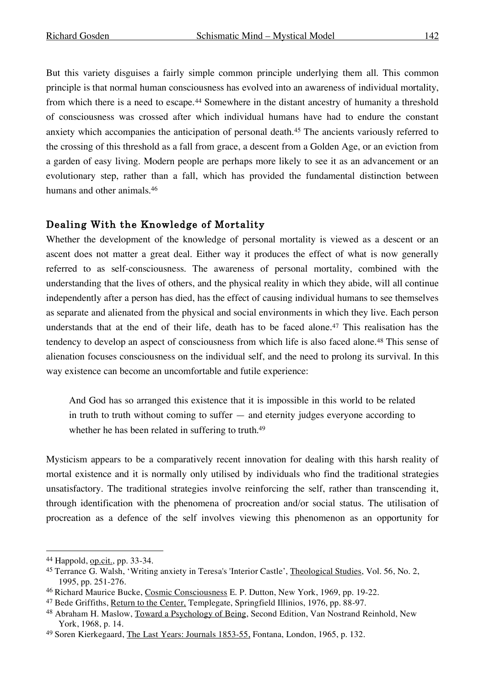But this variety disguises a fairly simple common principle underlying them all. This common principle is that normal human consciousness has evolved into an awareness of individual mortality, from which there is a need to escape.<sup>44</sup> Somewhere in the distant ancestry of humanity a threshold of consciousness was crossed after which individual humans have had to endure the constant anxiety which accompanies the anticipation of personal death.45 The ancients variously referred to the crossing of this threshold as a fall from grace, a descent from a Golden Age, or an eviction from a garden of easy living. Modern people are perhaps more likely to see it as an advancement or an evolutionary step, rather than a fall, which has provided the fundamental distinction between humans and other animals. 46

### Dealing With the Knowledge of Mortality

Whether the development of the knowledge of personal mortality is viewed as a descent or an ascent does not matter a great deal. Either way it produces the effect of what is now generally referred to as self-consciousness. The awareness of personal mortality, combined with the understanding that the lives of others, and the physical reality in which they abide, will all continue independently after a person has died, has the effect of causing individual humans to see themselves as separate and alienated from the physical and social environments in which they live. Each person understands that at the end of their life, death has to be faced alone.<sup>47</sup> This realisation has the tendency to develop an aspect of consciousness from which life is also faced alone.48 This sense of alienation focuses consciousness on the individual self, and the need to prolong its survival. In this way existence can become an uncomfortable and futile experience:

And God has so arranged this existence that it is impossible in this world to be related in truth to truth without coming to suffer — and eternity judges everyone according to whether he has been related in suffering to truth.<sup>49</sup>

Mysticism appears to be a comparatively recent innovation for dealing with this harsh reality of mortal existence and it is normally only utilised by individuals who find the traditional strategies unsatisfactory. The traditional strategies involve reinforcing the self, rather than transcending it, through identification with the phenomena of procreation and/or social status. The utilisation of procreation as a defence of the self involves viewing this phenomenon as an opportunity for

 <sup>44</sup> Happold, op.cit., pp. 33-34.

<sup>45</sup> Terrance G. Walsh, 'Writing anxiety in Teresa's 'Interior Castle', Theological Studies, Vol. 56, No. 2, 1995, pp. 251-276.

<sup>46</sup> Richard Maurice Bucke, Cosmic Consciousness E. P. Dutton, New York, 1969, pp. 19-22.

<sup>47</sup> Bede Griffiths, Return to the Center, Templegate, Springfield Illinios, 1976, pp. 88-97.

<sup>&</sup>lt;sup>48</sup> Abraham H. Maslow, Toward a Psychology of Being, Second Edition, Van Nostrand Reinhold, New York, 1968, p. 14.

<sup>&</sup>lt;sup>49</sup> Soren Kierkegaard, *The Last Years: Journals 1853-55*, Fontana, London, 1965, p. 132.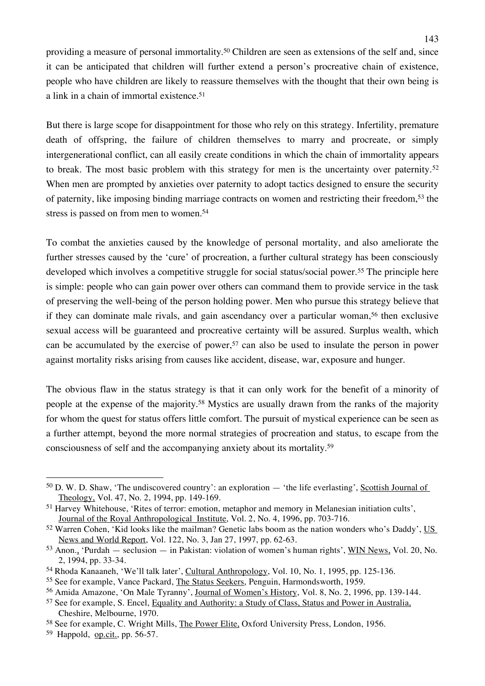providing a measure of personal immortality. <sup>50</sup> Children are seen as extensions of the self and, since it can be anticipated that children will further extend a person's procreative chain of existence, people who have children are likely to reassure themselves with the thought that their own being is a link in a chain of immortal existence. 51

But there is large scope for disappointment for those who rely on this strategy. Infertility, premature death of offspring, the failure of children themselves to marry and procreate, or simply intergenerational conflict, can all easily create conditions in which the chain of immortality appears to break. The most basic problem with this strategy for men is the uncertainty over paternity.<sup>52</sup> When men are prompted by anxieties over paternity to adopt tactics designed to ensure the security of paternity, like imposing binding marriage contracts on women and restricting their freedom, <sup>53</sup> the stress is passed on from men to women.<sup>54</sup>

To combat the anxieties caused by the knowledge of personal mortality, and also ameliorate the further stresses caused by the 'cure' of procreation, a further cultural strategy has been consciously developed which involves a competitive struggle for social status/social power.<sup>55</sup> The principle here is simple: people who can gain power over others can command them to provide service in the task of preserving the well-being of the person holding power. Men who pursue this strategy believe that if they can dominate male rivals, and gain ascendancy over a particular woman,<sup>56</sup> then exclusive sexual access will be guaranteed and procreative certainty will be assured. Surplus wealth, which can be accumulated by the exercise of power, <sup>57</sup> can also be used to insulate the person in power against mortality risks arising from causes like accident, disease, war, exposure and hunger.

The obvious flaw in the status strategy is that it can only work for the benefit of a minority of people at the expense of the majority.58 Mystics are usually drawn from the ranks of the majority for whom the quest for status offers little comfort. The pursuit of mystical experience can be seen as a further attempt, beyond the more normal strategies of procreation and status, to escape from the consciousness of self and the accompanying anxiety about its mortality.59

 <sup>50</sup> D. W. D. Shaw, 'The undiscovered country': an exploration — 'the life everlasting', Scottish Journal of Theology, Vol. 47, No. 2, 1994, pp. 149-169.

<sup>51</sup> Harvey Whitehouse, 'Rites of terror: emotion, metaphor and memory in Melanesian initiation cults', Journal of the Royal Anthropological Institute, Vol. 2, No. 4, 1996, pp. 703-716.

<sup>52</sup> Warren Cohen, 'Kid looks like the mailman? Genetic labs boom as the nation wonders who's Daddy', US News and World Report, Vol. 122, No. 3, Jan 27, 1997, pp. 62-63.

<sup>53</sup> Anon., 'Purdah — seclusion — in Pakistan: violation of women's human rights', WIN News, Vol. 20, No. 2, 1994, pp. 33-34.

<sup>54</sup> Rhoda Kanaaneh, 'We'll talk later', Cultural Anthropology, Vol. 10, No. 1, 1995, pp. 125-136.

<sup>55</sup> See for example, Vance Packard, The Status Seekers, Penguin, Harmondsworth, 1959.

<sup>56</sup> Amida Amazone, 'On Male Tyranny', Journal of Women's History, Vol. 8, No. 2, 1996, pp. 139-144.

<sup>57</sup> See for example, S. Encel, Equality and Authority: a Study of Class, Status and Power in Australia, Cheshire, Melbourne, 1970.

<sup>58</sup> See for example, C. Wright Mills, The Power Elite, Oxford University Press, London, 1956.

<sup>59</sup> Happold, op.cit., pp. 56-57.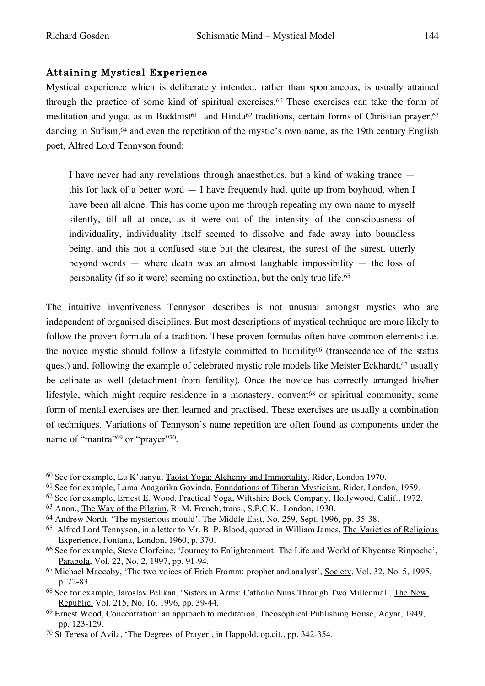#### Attaining Mystical Experience

Mystical experience which is deliberately intended, rather than spontaneous, is usually attained through the practice of some kind of spiritual exercises.60 These exercises can take the form of meditation and yoga, as in Buddhist<sup>61</sup> and Hindu<sup>62</sup> traditions, certain forms of Christian prayer,<sup>63</sup> dancing in Sufism, <sup>64</sup> and even the repetition of the mystic's own name, as the 19th century English poet, Alfred Lord Tennyson found:

I have never had any revelations through anaesthetics, but a kind of waking trance this for lack of a better word — I have frequently had, quite up from boyhood, when I have been all alone. This has come upon me through repeating my own name to myself silently, till all at once, as it were out of the intensity of the consciousness of individuality, individuality itself seemed to dissolve and fade away into boundless being, and this not a confused state but the clearest, the surest of the surest, utterly beyond words — where death was an almost laughable impossibility — the loss of personality (if so it were) seeming no extinction, but the only true life. 65

The intuitive inventiveness Tennyson describes is not unusual amongst mystics who are independent of organised disciplines. But most descriptions of mystical technique are more likely to follow the proven formula of a tradition. These proven formulas often have common elements: i.e. the novice mystic should follow a lifestyle committed to humility<sup>66</sup> (transcendence of the status quest) and, following the example of celebrated mystic role models like Meister Eckhardt,<sup>67</sup> usually be celibate as well (detachment from fertility). Once the novice has correctly arranged his/her lifestyle, which might require residence in a monastery, convent<sup>68</sup> or spiritual community, some form of mental exercises are then learned and practised. These exercises are usually a combination of techniques. Variations of Tennyson's name repetition are often found as components under the name of "mantra"<sup>69</sup> or "prayer"<sup>70</sup>.

 <sup>60</sup> See for example, Lu K'uanyu, Taoist Yoga: Alchemy and Immortality, Rider, London 1970.

<sup>61</sup> See for example, Lama Anagarika Govinda, Foundations of Tibetan Mysticism, Rider, London, 1959.

<sup>62</sup> See for example, Ernest E. Wood, Practical Yoga, Wiltshire Book Company, Hollywood, Calif., 1972.

<sup>63</sup> Anon., The Way of the Pilgrim, R. M. French, trans., S.P.C.K., London, 1930.

<sup>64</sup> Andrew North, 'The mysterious mould', The Middle East, No. 259, Sept. 1996, pp. 35-38.

<sup>&</sup>lt;sup>65</sup> Alfred Lord Tennyson, in a letter to Mr. B. P. Blood, quoted in William James, The Varieties of Religious Experience, Fontana, London, 1960, p. 370.

<sup>66</sup> See for example, Steve Clorfeine, 'Journey to Enlightenment: The Life and World of Khyentse Rinpoche', Parabola, Vol. 22, No. 2, 1997, pp. 91-94.

<sup>67</sup> Michael Maccoby, 'The two voices of Erich Fromm: prophet and analyst', Society, Vol. 32, No. 5, 1995, p. 72-83.

<sup>&</sup>lt;sup>68</sup> See for example, Jaroslav Pelikan, 'Sisters in Arms: Catholic Nuns Through Two Millennial', The New Republic, Vol. 215, No. 16, 1996, pp. 39-44.

<sup>69</sup> Ernest Wood, Concentration: an approach to meditation, Theosophical Publishing House, Adyar, 1949, pp. 123-129.

<sup>70</sup> St Teresa of Avila, 'The Degrees of Prayer', in Happold, op.cit., pp. 342-354.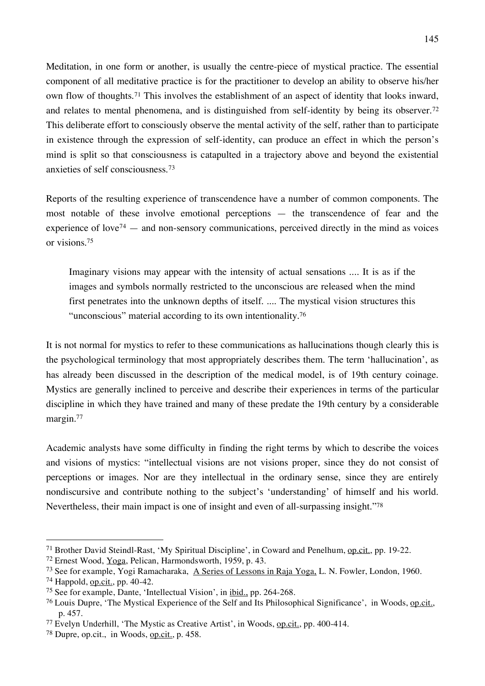Meditation, in one form or another, is usually the centre-piece of mystical practice. The essential component of all meditative practice is for the practitioner to develop an ability to observe his/her own flow of thoughts.71 This involves the establishment of an aspect of identity that looks inward,

and relates to mental phenomena, and is distinguished from self-identity by being its observer.<sup>72</sup> This deliberate effort to consciously observe the mental activity of the self, rather than to participate in existence through the expression of self-identity, can produce an effect in which the person's mind is split so that consciousness is catapulted in a trajectory above and beyond the existential anxieties of self consciousness.73

Reports of the resulting experience of transcendence have a number of common components. The most notable of these involve emotional perceptions — the transcendence of fear and the experience of love<sup> $74$ </sup> — and non-sensory communications, perceived directly in the mind as voices or visions. 75

Imaginary visions may appear with the intensity of actual sensations .... It is as if the images and symbols normally restricted to the unconscious are released when the mind first penetrates into the unknown depths of itself. .... The mystical vision structures this "unconscious" material according to its own intentionality.76

It is not normal for mystics to refer to these communications as hallucinations though clearly this is the psychological terminology that most appropriately describes them. The term 'hallucination', as has already been discussed in the description of the medical model, is of 19th century coinage. Mystics are generally inclined to perceive and describe their experiences in terms of the particular discipline in which they have trained and many of these predate the 19th century by a considerable margin.77

Academic analysts have some difficulty in finding the right terms by which to describe the voices and visions of mystics: "intellectual visions are not visions proper, since they do not consist of perceptions or images. Nor are they intellectual in the ordinary sense, since they are entirely nondiscursive and contribute nothing to the subject's 'understanding' of himself and his world. Nevertheless, their main impact is one of insight and even of all-surpassing insight."78

 <sup>71</sup> Brother David Steindl-Rast, 'My Spiritual Discipline', in Coward and Penelhum, op.cit., pp. 19-22.

<sup>72</sup> Ernest Wood, Yoga, Pelican, Harmondsworth, 1959, p. 43.

<sup>73</sup> See for example, Yogi Ramacharaka, A Series of Lessons in Raja Yoga, L. N. Fowler, London, 1960.

<sup>74</sup> Happold, op.cit., pp. 40-42.

<sup>75</sup> See for example, Dante, 'Intellectual Vision', in ibid., pp. 264-268.

<sup>76</sup> Louis Dupre, 'The Mystical Experience of the Self and Its Philosophical Significance', in Woods, op.cit., p. 457.

<sup>77</sup> Evelyn Underhill, 'The Mystic as Creative Artist', in Woods, op.cit., pp. 400-414.

<sup>78</sup> Dupre, op.cit., in Woods, op.cit., p. 458.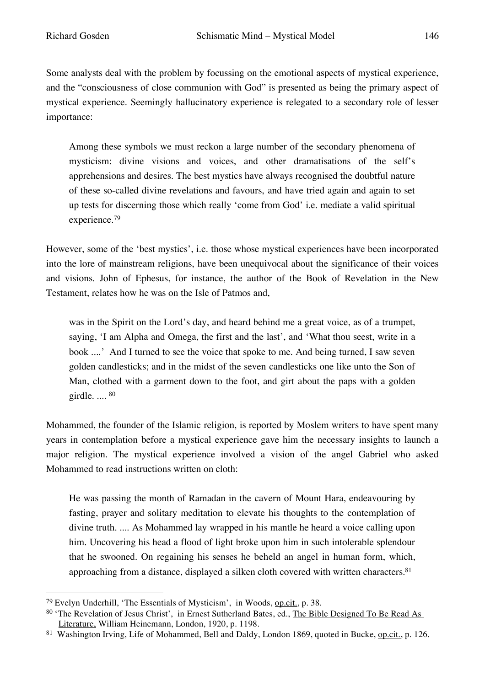Some analysts deal with the problem by focussing on the emotional aspects of mystical experience, and the "consciousness of close communion with God" is presented as being the primary aspect of mystical experience. Seemingly hallucinatory experience is relegated to a secondary role of lesser importance:

Among these symbols we must reckon a large number of the secondary phenomena of mysticism: divine visions and voices, and other dramatisations of the self's apprehensions and desires. The best mystics have always recognised the doubtful nature of these so-called divine revelations and favours, and have tried again and again to set up tests for discerning those which really 'come from God' i.e. mediate a valid spiritual experience. 79

However, some of the 'best mystics', i.e. those whose mystical experiences have been incorporated into the lore of mainstream religions, have been unequivocal about the significance of their voices and visions. John of Ephesus, for instance, the author of the Book of Revelation in the New Testament, relates how he was on the Isle of Patmos and,

was in the Spirit on the Lord's day, and heard behind me a great voice, as of a trumpet, saying, 'I am Alpha and Omega, the first and the last', and 'What thou seest, write in a book ....' And I turned to see the voice that spoke to me. And being turned, I saw seven golden candlesticks; and in the midst of the seven candlesticks one like unto the Son of Man, clothed with a garment down to the foot, and girt about the paps with a golden girdle. .... <sup>80</sup>

Mohammed, the founder of the Islamic religion, is reported by Moslem writers to have spent many years in contemplation before a mystical experience gave him the necessary insights to launch a major religion. The mystical experience involved a vision of the angel Gabriel who asked Mohammed to read instructions written on cloth:

He was passing the month of Ramadan in the cavern of Mount Hara, endeavouring by fasting, prayer and solitary meditation to elevate his thoughts to the contemplation of divine truth. .... As Mohammed lay wrapped in his mantle he heard a voice calling upon him. Uncovering his head a flood of light broke upon him in such intolerable splendour that he swooned. On regaining his senses he beheld an angel in human form, which, approaching from a distance, displayed a silken cloth covered with written characters. 81

 <sup>79</sup> Evelyn Underhill, 'The Essentials of Mysticism', in Woods, op.cit., p. 38.

<sup>80 &#</sup>x27;The Revelation of Jesus Christ', in Ernest Sutherland Bates, ed., The Bible Designed To Be Read As Literature, William Heinemann, London, 1920, p. 1198.

<sup>81</sup> Washington Irving, Life of Mohammed, Bell and Daldy, London 1869, quoted in Bucke, op.cit., p. 126.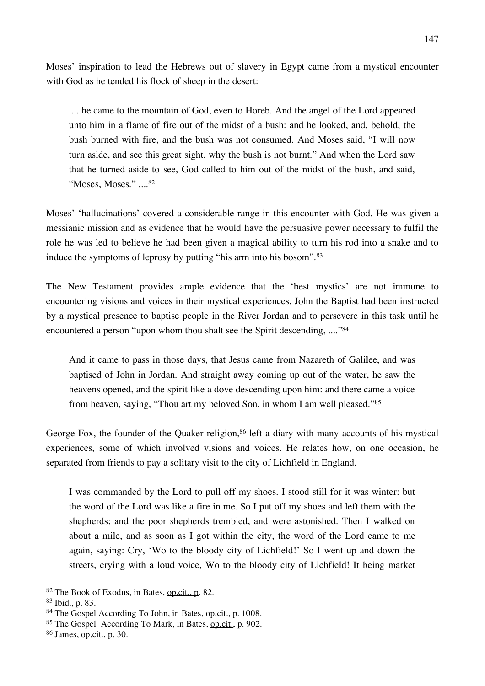Moses' inspiration to lead the Hebrews out of slavery in Egypt came from a mystical encounter with God as he tended his flock of sheep in the desert:

.... he came to the mountain of God, even to Horeb. And the angel of the Lord appeared unto him in a flame of fire out of the midst of a bush: and he looked, and, behold, the bush burned with fire, and the bush was not consumed. And Moses said, "I will now turn aside, and see this great sight, why the bush is not burnt." And when the Lord saw that he turned aside to see, God called to him out of the midst of the bush, and said, "Moses, Moses." .... 82

Moses' 'hallucinations' covered a considerable range in this encounter with God. He was given a messianic mission and as evidence that he would have the persuasive power necessary to fulfil the role he was led to believe he had been given a magical ability to turn his rod into a snake and to induce the symptoms of leprosy by putting "his arm into his bosom". 83

The New Testament provides ample evidence that the 'best mystics' are not immune to encountering visions and voices in their mystical experiences. John the Baptist had been instructed by a mystical presence to baptise people in the River Jordan and to persevere in this task until he encountered a person "upon whom thou shalt see the Spirit descending, ...."<sup>84</sup>

And it came to pass in those days, that Jesus came from Nazareth of Galilee, and was baptised of John in Jordan. And straight away coming up out of the water, he saw the heavens opened, and the spirit like a dove descending upon him: and there came a voice from heaven, saying, "Thou art my beloved Son, in whom I am well pleased."85

George Fox, the founder of the Quaker religion,<sup>86</sup> left a diary with many accounts of his mystical experiences, some of which involved visions and voices. He relates how, on one occasion, he separated from friends to pay a solitary visit to the city of Lichfield in England.

I was commanded by the Lord to pull off my shoes. I stood still for it was winter: but the word of the Lord was like a fire in me. So I put off my shoes and left them with the shepherds; and the poor shepherds trembled, and were astonished. Then I walked on about a mile, and as soon as I got within the city, the word of the Lord came to me again, saying: Cry, 'Wo to the bloody city of Lichfield!' So I went up and down the streets, crying with a loud voice, Wo to the bloody city of Lichfield! It being market

 <sup>82</sup> The Book of Exodus, in Bates, op.cit., p. 82.

<sup>83</sup> Ibid., p. 83.

<sup>84</sup> The Gospel According To John, in Bates, op.cit., p. 1008.

<sup>85</sup> The Gospel According To Mark, in Bates, op.cit., p. 902.

<sup>86</sup> James, op.cit., p. 30.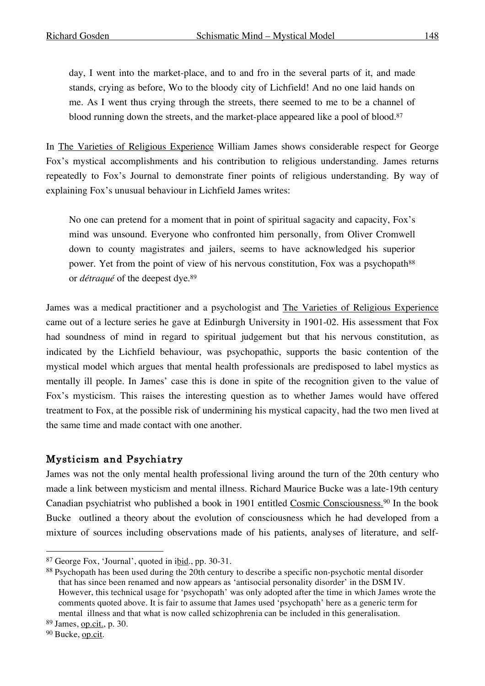day, I went into the market-place, and to and fro in the several parts of it, and made stands, crying as before, Wo to the bloody city of Lichfield! And no one laid hands on me. As I went thus crying through the streets, there seemed to me to be a channel of blood running down the streets, and the market-place appeared like a pool of blood.<sup>87</sup>

In The Varieties of Religious Experience William James shows considerable respect for George Fox's mystical accomplishments and his contribution to religious understanding. James returns repeatedly to Fox's Journal to demonstrate finer points of religious understanding. By way of explaining Fox's unusual behaviour in Lichfield James writes:

No one can pretend for a moment that in point of spiritual sagacity and capacity, Fox's mind was unsound. Everyone who confronted him personally, from Oliver Cromwell down to county magistrates and jailers, seems to have acknowledged his superior power. Yet from the point of view of his nervous constitution, Fox was a psychopath<sup>88</sup> or *détraqué* of the deepest dye. 89

James was a medical practitioner and a psychologist and The Varieties of Religious Experience came out of a lecture series he gave at Edinburgh University in 1901-02. His assessment that Fox had soundness of mind in regard to spiritual judgement but that his nervous constitution, as indicated by the Lichfield behaviour, was psychopathic, supports the basic contention of the mystical model which argues that mental health professionals are predisposed to label mystics as mentally ill people. In James' case this is done in spite of the recognition given to the value of Fox's mysticism. This raises the interesting question as to whether James would have offered treatment to Fox, at the possible risk of undermining his mystical capacity, had the two men lived at the same time and made contact with one another.

### Mysticism and Psychiatry

James was not the only mental health professional living around the turn of the 20th century who made a link between mysticism and mental illness. Richard Maurice Bucke was a late-19th century Canadian psychiatrist who published a book in 1901 entitled Cosmic Consciousness.<sup>90</sup> In the book Bucke outlined a theory about the evolution of consciousness which he had developed from a mixture of sources including observations made of his patients, analyses of literature, and self-

 <sup>87</sup> George Fox, 'Journal', quoted in ibid., pp. 30-31.

<sup>88</sup> Psychopath has been used during the 20th century to describe a specific non-psychotic mental disorder that has since been renamed and now appears as 'antisocial personality disorder' in the DSM IV. However, this technical usage for 'psychopath' was only adopted after the time in which James wrote the comments quoted above. It is fair to assume that James used 'psychopath' here as a generic term for mental illness and that what is now called schizophrenia can be included in this generalisation.

<sup>89</sup> James, op.cit., p. 30.

<sup>90</sup> Bucke, op.cit.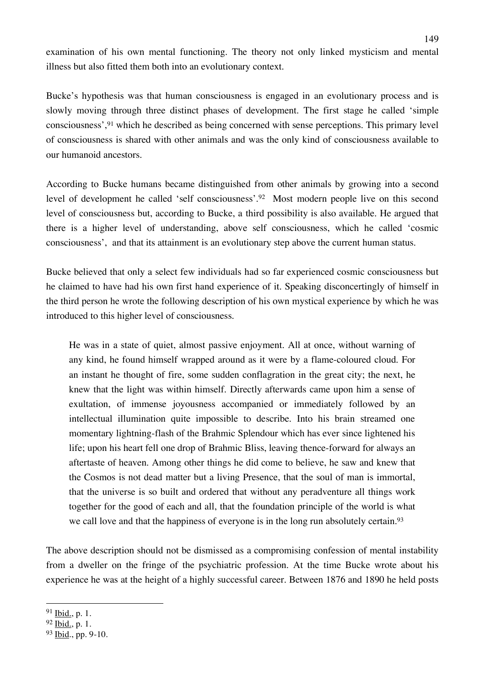examination of his own mental functioning. The theory not only linked mysticism and mental illness but also fitted them both into an evolutionary context.

Bucke's hypothesis was that human consciousness is engaged in an evolutionary process and is slowly moving through three distinct phases of development. The first stage he called 'simple consciousness', <sup>91</sup> which he described as being concerned with sense perceptions. This primary level of consciousness is shared with other animals and was the only kind of consciousness available to our humanoid ancestors.

According to Bucke humans became distinguished from other animals by growing into a second level of development he called 'self consciousness'. <sup>92</sup> Most modern people live on this second level of consciousness but, according to Bucke, a third possibility is also available. He argued that there is a higher level of understanding, above self consciousness, which he called 'cosmic consciousness', and that its attainment is an evolutionary step above the current human status.

Bucke believed that only a select few individuals had so far experienced cosmic consciousness but he claimed to have had his own first hand experience of it. Speaking disconcertingly of himself in the third person he wrote the following description of his own mystical experience by which he was introduced to this higher level of consciousness.

He was in a state of quiet, almost passive enjoyment. All at once, without warning of any kind, he found himself wrapped around as it were by a flame-coloured cloud. For an instant he thought of fire, some sudden conflagration in the great city; the next, he knew that the light was within himself. Directly afterwards came upon him a sense of exultation, of immense joyousness accompanied or immediately followed by an intellectual illumination quite impossible to describe. Into his brain streamed one momentary lightning-flash of the Brahmic Splendour which has ever since lightened his life; upon his heart fell one drop of Brahmic Bliss, leaving thence-forward for always an aftertaste of heaven. Among other things he did come to believe, he saw and knew that the Cosmos is not dead matter but a living Presence, that the soul of man is immortal, that the universe is so built and ordered that without any peradventure all things work together for the good of each and all, that the foundation principle of the world is what we call love and that the happiness of everyone is in the long run absolutely certain.<sup>93</sup>

The above description should not be dismissed as a compromising confession of mental instability from a dweller on the fringe of the psychiatric profession. At the time Bucke wrote about his experience he was at the height of a highly successful career. Between 1876 and 1890 he held posts

 <sup>91</sup> Ibid., p. 1.

<sup>92</sup> Ibid., p. 1.

<sup>93</sup> Ibid., pp. 9-10.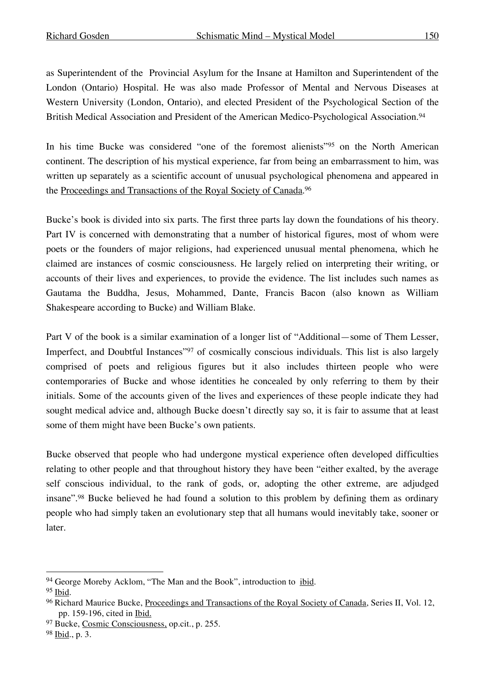as Superintendent of the Provincial Asylum for the Insane at Hamilton and Superintendent of the London (Ontario) Hospital. He was also made Professor of Mental and Nervous Diseases at Western University (London, Ontario), and elected President of the Psychological Section of the British Medical Association and President of the American Medico-Psychological Association.<sup>94</sup>

In his time Bucke was considered "one of the foremost alienists"<sup>95</sup> on the North American continent. The description of his mystical experience, far from being an embarrassment to him, was written up separately as a scientific account of unusual psychological phenomena and appeared in the Proceedings and Transactions of the Royal Society of Canada.<sup>96</sup>

Bucke's book is divided into six parts. The first three parts lay down the foundations of his theory. Part IV is concerned with demonstrating that a number of historical figures, most of whom were poets or the founders of major religions, had experienced unusual mental phenomena, which he claimed are instances of cosmic consciousness. He largely relied on interpreting their writing, or accounts of their lives and experiences, to provide the evidence. The list includes such names as Gautama the Buddha, Jesus, Mohammed, Dante, Francis Bacon (also known as William Shakespeare according to Bucke) and William Blake.

Part V of the book is a similar examination of a longer list of "Additional—some of Them Lesser, Imperfect, and Doubtful Instances"97 of cosmically conscious individuals. This list is also largely comprised of poets and religious figures but it also includes thirteen people who were contemporaries of Bucke and whose identities he concealed by only referring to them by their initials. Some of the accounts given of the lives and experiences of these people indicate they had sought medical advice and, although Bucke doesn't directly say so, it is fair to assume that at least some of them might have been Bucke's own patients.

Bucke observed that people who had undergone mystical experience often developed difficulties relating to other people and that throughout history they have been "either exalted, by the average self conscious individual, to the rank of gods, or, adopting the other extreme, are adjudged insane".98 Bucke believed he had found a solution to this problem by defining them as ordinary people who had simply taken an evolutionary step that all humans would inevitably take, sooner or later.

<sup>&</sup>lt;sup>94</sup> George Moreby Acklom, "The Man and the Book", introduction to *ibid.* 

<sup>95</sup> Ibid.

<sup>96</sup> Richard Maurice Bucke, Proceedings and Transactions of the Royal Society of Canada, Series II, Vol. 12, pp. 159-196, cited in Ibid.

<sup>97</sup> Bucke, Cosmic Consciousness, op.cit., p. 255.

<sup>98</sup> Ibid., p. 3.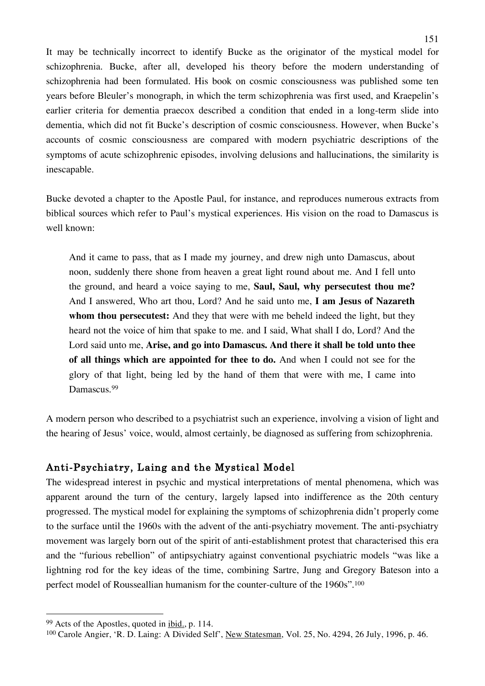It may be technically incorrect to identify Bucke as the originator of the mystical model for schizophrenia. Bucke, after all, developed his theory before the modern understanding of schizophrenia had been formulated. His book on cosmic consciousness was published some ten years before Bleuler's monograph, in which the term schizophrenia was first used, and Kraepelin's earlier criteria for dementia praecox described a condition that ended in a long-term slide into dementia, which did not fit Bucke's description of cosmic consciousness. However, when Bucke's accounts of cosmic consciousness are compared with modern psychiatric descriptions of the symptoms of acute schizophrenic episodes, involving delusions and hallucinations, the similarity is inescapable.

Bucke devoted a chapter to the Apostle Paul, for instance, and reproduces numerous extracts from biblical sources which refer to Paul's mystical experiences. His vision on the road to Damascus is well known:

And it came to pass, that as I made my journey, and drew nigh unto Damascus, about noon, suddenly there shone from heaven a great light round about me. And I fell unto the ground, and heard a voice saying to me, **Saul, Saul, why persecutest thou me?** And I answered, Who art thou, Lord? And he said unto me, **I am Jesus of Nazareth whom thou persecutest:** And they that were with me beheld indeed the light, but they heard not the voice of him that spake to me. and I said, What shall I do, Lord? And the Lord said unto me, **Arise, and go into Damascus. And there it shall be told unto thee of all things which are appointed for thee to do.** And when I could not see for the glory of that light, being led by the hand of them that were with me, I came into Damascus.<sup>99</sup>

A modern person who described to a psychiatrist such an experience, involving a vision of light and the hearing of Jesus' voice, would, almost certainly, be diagnosed as suffering from schizophrenia.

#### Anti-Psychiatry, Laing and the Mystical Model

The widespread interest in psychic and mystical interpretations of mental phenomena, which was apparent around the turn of the century, largely lapsed into indifference as the 20th century progressed. The mystical model for explaining the symptoms of schizophrenia didn't properly come to the surface until the 1960s with the advent of the anti-psychiatry movement. The anti-psychiatry movement was largely born out of the spirit of anti-establishment protest that characterised this era and the "furious rebellion" of antipsychiatry against conventional psychiatric models "was like a lightning rod for the key ideas of the time, combining Sartre, Jung and Gregory Bateson into a perfect model of Rousseallian humanism for the counter-culture of the 1960s".<sup>100</sup>

 <sup>99</sup> Acts of the Apostles, quoted in ibid., p. 114.

<sup>&</sup>lt;sup>100</sup> Carole Angier, 'R. D. Laing: A Divided Self', <u>New Statesman</u>, Vol. 25, No. 4294, 26 July, 1996, p. 46.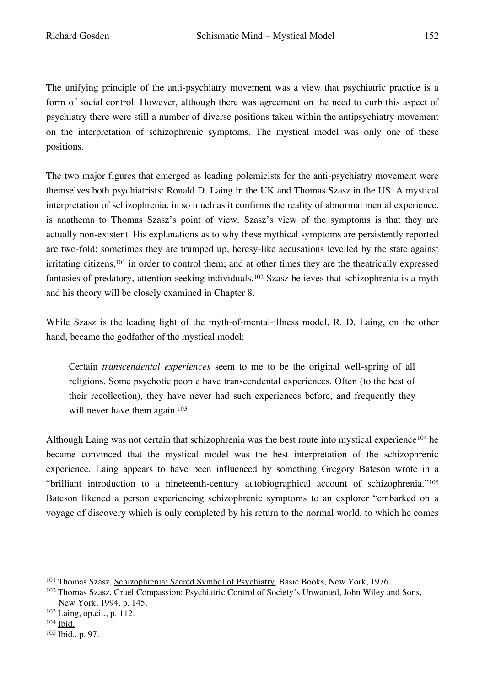The unifying principle of the anti-psychiatry movement was a view that psychiatric practice is a form of social control. However, although there was agreement on the need to curb this aspect of psychiatry there were still a number of diverse positions taken within the antipsychiatry movement on the interpretation of schizophrenic symptoms. The mystical model was only one of these positions.

The two major figures that emerged as leading polemicists for the anti-psychiatry movement were themselves both psychiatrists: Ronald D. Laing in the UK and Thomas Szasz in the US. A mystical interpretation of schizophrenia, in so much as it confirms the reality of abnormal mental experience, is anathema to Thomas Szasz's point of view. Szasz's view of the symptoms is that they are actually non-existent. His explanations as to why these mythical symptoms are persistently reported are two-fold: sometimes they are trumped up, heresy-like accusations levelled by the state against irritating citizens, <sup>101</sup> in order to control them; and at other times they are the theatrically expressed fantasies of predatory, attention-seeking individuals. <sup>102</sup> Szasz believes that schizophrenia is a myth and his theory will be closely examined in Chapter 8.

While Szasz is the leading light of the myth-of-mental-illness model, R. D. Laing, on the other hand, became the godfather of the mystical model:

Certain *transcendental experiences* seem to me to be the original well-spring of all religions. Some psychotic people have transcendental experiences. Often (to the best of their recollection), they have never had such experiences before, and frequently they will never have them again.<sup>103</sup>

Although Laing was not certain that schizophrenia was the best route into mystical experience<sup>104</sup> he became convinced that the mystical model was the best interpretation of the schizophrenic experience. Laing appears to have been influenced by something Gregory Bateson wrote in a "brilliant introduction to a nineteenth-century autobiographical account of schizophrenia."105 Bateson likened a person experiencing schizophrenic symptoms to an explorer "embarked on a voyage of discovery which is only completed by his return to the normal world, to which he comes

 <sup>101</sup> Thomas Szasz, Schizophrenia: Sacred Symbol of Psychiatry, Basic Books, New York, 1976.

<sup>&</sup>lt;sup>102</sup> Thomas Szasz, Cruel Compassion: Psychiatric Control of Society's Unwanted, John Wiley and Sons, New York, 1994, p. 145.

<sup>103</sup> Laing, op.cit., p. 112.

<sup>104</sup> Ibid.

<sup>105</sup> Ibid., p. 97.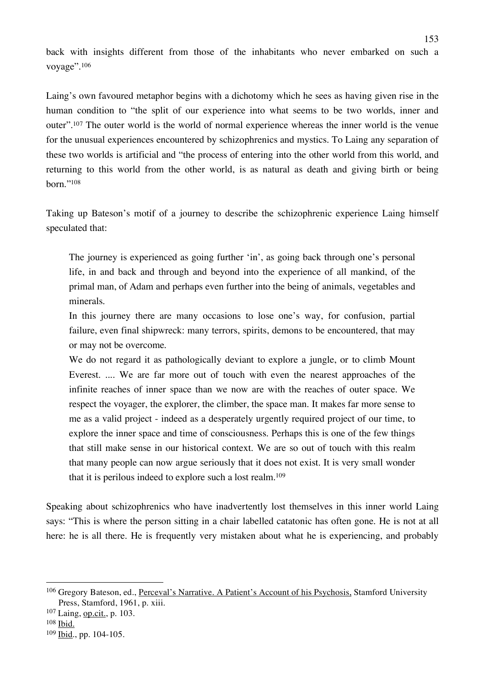back with insights different from those of the inhabitants who never embarked on such a voyage". 106

Laing's own favoured metaphor begins with a dichotomy which he sees as having given rise in the human condition to "the split of our experience into what seems to be two worlds, inner and outer".<sup>107</sup> The outer world is the world of normal experience whereas the inner world is the venue for the unusual experiences encountered by schizophrenics and mystics. To Laing any separation of these two worlds is artificial and "the process of entering into the other world from this world, and returning to this world from the other world, is as natural as death and giving birth or being born."108

Taking up Bateson's motif of a journey to describe the schizophrenic experience Laing himself speculated that:

The journey is experienced as going further 'in', as going back through one's personal life, in and back and through and beyond into the experience of all mankind, of the primal man, of Adam and perhaps even further into the being of animals, vegetables and minerals.

In this journey there are many occasions to lose one's way, for confusion, partial failure, even final shipwreck: many terrors, spirits, demons to be encountered, that may or may not be overcome.

We do not regard it as pathologically deviant to explore a jungle, or to climb Mount Everest. .... We are far more out of touch with even the nearest approaches of the infinite reaches of inner space than we now are with the reaches of outer space. We respect the voyager, the explorer, the climber, the space man. It makes far more sense to me as a valid project - indeed as a desperately urgently required project of our time, to explore the inner space and time of consciousness. Perhaps this is one of the few things that still make sense in our historical context. We are so out of touch with this realm that many people can now argue seriously that it does not exist. It is very small wonder that it is perilous indeed to explore such a lost realm. 109

Speaking about schizophrenics who have inadvertently lost themselves in this inner world Laing says: "This is where the person sitting in a chair labelled catatonic has often gone. He is not at all here: he is all there. He is frequently very mistaken about what he is experiencing, and probably

<sup>&</sup>lt;sup>106</sup> Gregory Bateson, ed., Perceval's Narrative. A Patient's Account of his Psychosis, Stamford University Press, Stamford, 1961, p. xiii.

<sup>107</sup> Laing, op.cit., p. 103.

<sup>108</sup> Ibid.

<sup>109</sup> Ibid., pp. 104-105.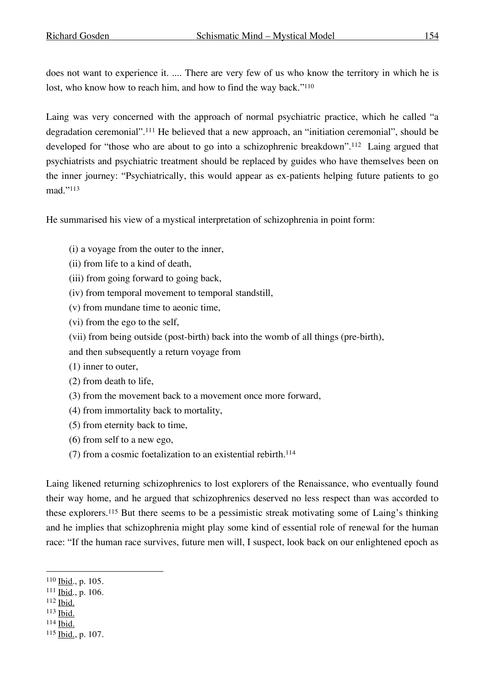does not want to experience it. .... There are very few of us who know the territory in which he is lost, who know how to reach him, and how to find the way back."<sup>110</sup>

Laing was very concerned with the approach of normal psychiatric practice, which he called "a degradation ceremonial". <sup>111</sup> He believed that a new approach, an "initiation ceremonial", should be developed for "those who are about to go into a schizophrenic breakdown".<sup>112</sup> Laing argued that psychiatrists and psychiatric treatment should be replaced by guides who have themselves been on the inner journey: "Psychiatrically, this would appear as ex-patients helping future patients to go mad."113

He summarised his view of a mystical interpretation of schizophrenia in point form:

- (i) a voyage from the outer to the inner,
- (ii) from life to a kind of death,
- (iii) from going forward to going back,
- (iv) from temporal movement to temporal standstill,
- (v) from mundane time to aeonic time,
- (vi) from the ego to the self,
- (vii) from being outside (post-birth) back into the womb of all things (pre-birth),
- and then subsequently a return voyage from
- (1) inner to outer,
- (2) from death to life,
- (3) from the movement back to a movement once more forward,
- (4) from immortality back to mortality,
- (5) from eternity back to time,
- (6) from self to a new ego,
- (7) from a cosmic foetalization to an existential rebirth.<sup>114</sup>

Laing likened returning schizophrenics to lost explorers of the Renaissance, who eventually found their way home, and he argued that schizophrenics deserved no less respect than was accorded to these explorers.115 But there seems to be a pessimistic streak motivating some of Laing's thinking and he implies that schizophrenia might play some kind of essential role of renewal for the human race: "If the human race survives, future men will, I suspect, look back on our enlightened epoch as

- <sup>112</sup> Ibid.
- <sup>113</sup> Ibid.
- <sup>114</sup> Ibid.

 <sup>110</sup> Ibid., p. 105.

 $111$  Ibid., p. 106.

<sup>115</sup> Ibid., p. 107.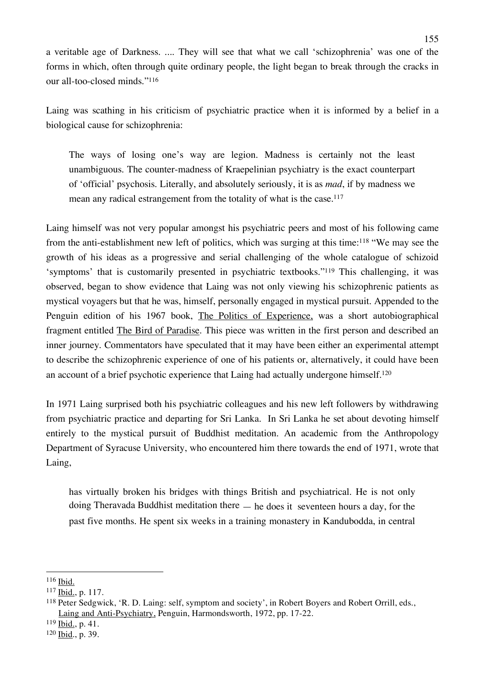a veritable age of Darkness. .... They will see that what we call 'schizophrenia' was one of the forms in which, often through quite ordinary people, the light began to break through the cracks in our all-too-closed minds."116

Laing was scathing in his criticism of psychiatric practice when it is informed by a belief in a biological cause for schizophrenia:

The ways of losing one's way are legion. Madness is certainly not the least unambiguous. The counter-madness of Kraepelinian psychiatry is the exact counterpart of 'official' psychosis. Literally, and absolutely seriously, it is as *mad*, if by madness we mean any radical estrangement from the totality of what is the case. 117

Laing himself was not very popular amongst his psychiatric peers and most of his following came from the anti-establishment new left of politics, which was surging at this time:118 "We may see the growth of his ideas as a progressive and serial challenging of the whole catalogue of schizoid 'symptoms' that is customarily presented in psychiatric textbooks."119 This challenging, it was observed, began to show evidence that Laing was not only viewing his schizophrenic patients as mystical voyagers but that he was, himself, personally engaged in mystical pursuit. Appended to the Penguin edition of his 1967 book, The Politics of Experience, was a short autobiographical fragment entitled The Bird of Paradise. This piece was written in the first person and described an inner journey. Commentators have speculated that it may have been either an experimental attempt to describe the schizophrenic experience of one of his patients or, alternatively, it could have been an account of a brief psychotic experience that Laing had actually undergone himself. 120

In 1971 Laing surprised both his psychiatric colleagues and his new left followers by withdrawing from psychiatric practice and departing for Sri Lanka. In Sri Lanka he set about devoting himself entirely to the mystical pursuit of Buddhist meditation. An academic from the Anthropology Department of Syracuse University, who encountered him there towards the end of 1971, wrote that Laing,

has virtually broken his bridges with things British and psychiatrical. He is not only doing Theravada Buddhist meditation there — he does it seventeen hours a day, for the past five months. He spent six weeks in a training monastery in Kandubodda, in central

 <sup>116</sup> Ibid.

<sup>117</sup> Ibid., p. 117.

<sup>118</sup> Peter Sedgwick, 'R. D. Laing: self, symptom and society', in Robert Boyers and Robert Orrill, eds., Laing and Anti-Psychiatry, Penguin, Harmondsworth, 1972, pp. 17-22.

<sup>119</sup> Ibid., p. 41.

<sup>120</sup> Ibid., p. 39.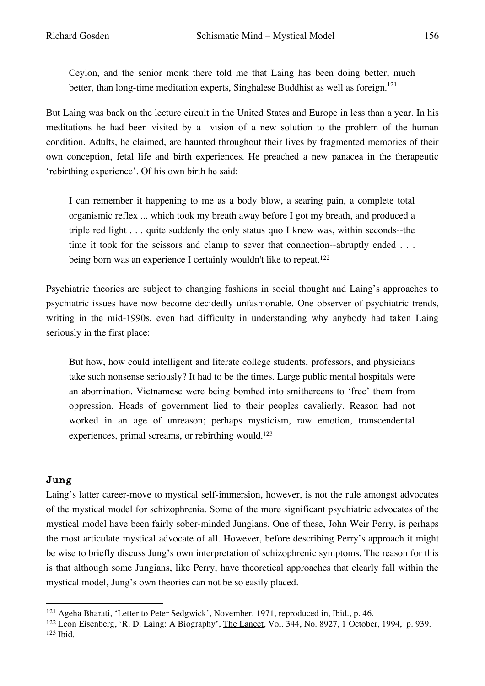Ceylon, and the senior monk there told me that Laing has been doing better, much better, than long-time meditation experts, Singhalese Buddhist as well as foreign.<sup>121</sup>

But Laing was back on the lecture circuit in the United States and Europe in less than a year. In his meditations he had been visited by a vision of a new solution to the problem of the human condition. Adults, he claimed, are haunted throughout their lives by fragmented memories of their own conception, fetal life and birth experiences. He preached a new panacea in the therapeutic 'rebirthing experience'. Of his own birth he said:

I can remember it happening to me as a body blow, a searing pain, a complete total organismic reflex ... which took my breath away before I got my breath, and produced a triple red light . . . quite suddenly the only status quo I knew was, within seconds--the time it took for the scissors and clamp to sever that connection--abruptly ended . . . being born was an experience I certainly wouldn't like to repeat.<sup>122</sup>

Psychiatric theories are subject to changing fashions in social thought and Laing's approaches to psychiatric issues have now become decidedly unfashionable. One observer of psychiatric trends, writing in the mid-1990s, even had difficulty in understanding why anybody had taken Laing seriously in the first place:

But how, how could intelligent and literate college students, professors, and physicians take such nonsense seriously? It had to be the times. Large public mental hospitals were an abomination. Vietnamese were being bombed into smithereens to 'free' them from oppression. Heads of government lied to their peoples cavalierly. Reason had not worked in an age of unreason; perhaps mysticism, raw emotion, transcendental experiences, primal screams, or rebirthing would. 123

### Jung

Laing's latter career-move to mystical self-immersion, however, is not the rule amongst advocates of the mystical model for schizophrenia. Some of the more significant psychiatric advocates of the mystical model have been fairly sober-minded Jungians. One of these, John Weir Perry, is perhaps the most articulate mystical advocate of all. However, before describing Perry's approach it might be wise to briefly discuss Jung's own interpretation of schizophrenic symptoms. The reason for this is that although some Jungians, like Perry, have theoretical approaches that clearly fall within the mystical model, Jung's own theories can not be so easily placed.

 <sup>121</sup> Ageha Bharati, 'Letter to Peter Sedgwick', November, 1971, reproduced in, Ibid., p. 46.

<sup>122</sup> Leon Eisenberg, 'R. D. Laing: A Biography', The Lancet, Vol. 344, No. 8927, 1 October, 1994, p. 939. <sup>123</sup> Ibid.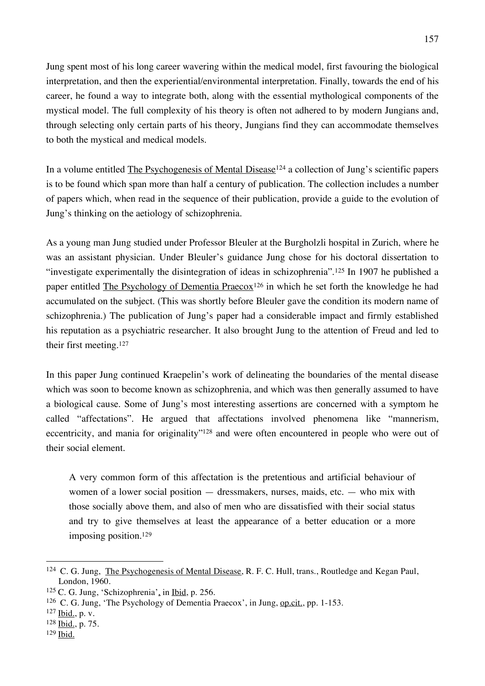Jung spent most of his long career wavering within the medical model, first favouring the biological interpretation, and then the experiential/environmental interpretation. Finally, towards the end of his career, he found a way to integrate both, along with the essential mythological components of the mystical model. The full complexity of his theory is often not adhered to by modern Jungians and, through selecting only certain parts of his theory, Jungians find they can accommodate themselves to both the mystical and medical models.

In a volume entitled The Psychogenesis of Mental Disease<sup>124</sup> a collection of Jung's scientific papers is to be found which span more than half a century of publication. The collection includes a number of papers which, when read in the sequence of their publication, provide a guide to the evolution of Jung's thinking on the aetiology of schizophrenia.

As a young man Jung studied under Professor Bleuler at the Burgholzli hospital in Zurich, where he was an assistant physician. Under Bleuler's guidance Jung chose for his doctoral dissertation to "investigate experimentally the disintegration of ideas in schizophrenia". <sup>125</sup> In 1907 he published a paper entitled The Psychology of Dementia Praecox<sup>126</sup> in which he set forth the knowledge he had accumulated on the subject. (This was shortly before Bleuler gave the condition its modern name of schizophrenia.) The publication of Jung's paper had a considerable impact and firmly established his reputation as a psychiatric researcher. It also brought Jung to the attention of Freud and led to their first meeting.127

In this paper Jung continued Kraepelin's work of delineating the boundaries of the mental disease which was soon to become known as schizophrenia, and which was then generally assumed to have a biological cause. Some of Jung's most interesting assertions are concerned with a symptom he called "affectations". He argued that affectations involved phenomena like "mannerism, eccentricity, and mania for originality"128 and were often encountered in people who were out of their social element.

A very common form of this affectation is the pretentious and artificial behaviour of women of a lower social position  $-$  dressmakers, nurses, maids, etc.  $-$  who mix with those socially above them, and also of men who are dissatisfied with their social status and try to give themselves at least the appearance of a better education or a more imposing position.129

<sup>&</sup>lt;sup>124</sup> C. G. Jung, The Psychogenesis of Mental Disease, R. F. C. Hull, trans., Routledge and Kegan Paul, London, 1960.

<sup>125</sup> C. G. Jung, 'Schizophrenia', in Ibid, p. 256.

 $126$  C. G. Jung, 'The Psychology of Dementia Praecox', in Jung, op.cit., pp. 1-153.

<sup>127</sup> Ibid., p. v.

<sup>128</sup> Ibid., p. 75.

<sup>129</sup> Ibid.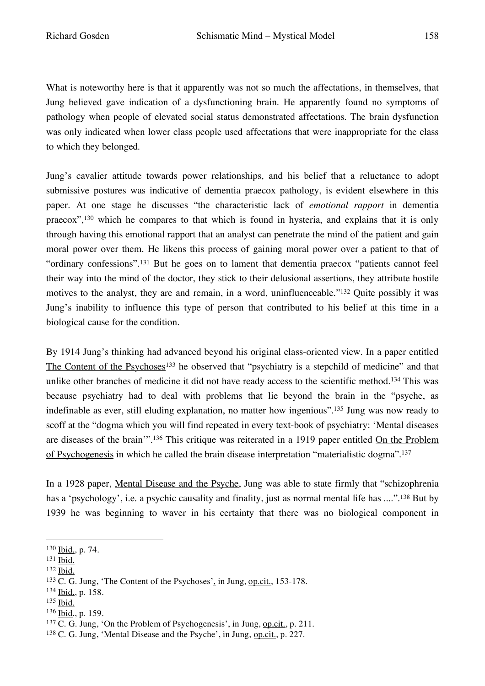What is noteworthy here is that it apparently was not so much the affectations, in themselves, that Jung believed gave indication of a dysfunctioning brain. He apparently found no symptoms of pathology when people of elevated social status demonstrated affectations. The brain dysfunction was only indicated when lower class people used affectations that were inappropriate for the class to which they belonged.

Jung's cavalier attitude towards power relationships, and his belief that a reluctance to adopt submissive postures was indicative of dementia praecox pathology, is evident elsewhere in this paper. At one stage he discusses "the characteristic lack of *emotional rapport* in dementia praecox", <sup>130</sup> which he compares to that which is found in hysteria, and explains that it is only through having this emotional rapport that an analyst can penetrate the mind of the patient and gain moral power over them. He likens this process of gaining moral power over a patient to that of "ordinary confessions".131 But he goes on to lament that dementia praecox "patients cannot feel their way into the mind of the doctor, they stick to their delusional assertions, they attribute hostile motives to the analyst, they are and remain, in a word, uninfluenceable."132 Quite possibly it was Jung's inability to influence this type of person that contributed to his belief at this time in a biological cause for the condition.

By 1914 Jung's thinking had advanced beyond his original class-oriented view. In a paper entitled The Content of the Psychoses<sup>133</sup> he observed that "psychiatry is a stepchild of medicine" and that unlike other branches of medicine it did not have ready access to the scientific method.134 This was because psychiatry had to deal with problems that lie beyond the brain in the "psyche, as indefinable as ever, still eluding explanation, no matter how ingenious". <sup>135</sup> Jung was now ready to scoff at the "dogma which you will find repeated in every text-book of psychiatry: 'Mental diseases are diseases of the brain'".<sup>136</sup> This critique was reiterated in a 1919 paper entitled <u>On the Problem</u> of Psychogenesis in which he called the brain disease interpretation "materialistic dogma". 137

In a 1928 paper, Mental Disease and the Psyche, Jung was able to state firmly that "schizophrenia has a 'psychology', i.e. a psychic causality and finality, just as normal mental life has ....". <sup>138</sup> But by 1939 he was beginning to waver in his certainty that there was no biological component in

134 Ibid., p. 158.

<sup>136</sup> Ibid., p. 159.

 <sup>130</sup> Ibid., p. 74.

<sup>131</sup> Ibid.

<sup>132</sup> Ibid.

<sup>&</sup>lt;sup>133</sup> C. G. Jung, 'The Content of the Psychoses', in Jung, <u>op.cit.</u>, 153-178.

<sup>135</sup> Ibid.

<sup>137</sup> C. G. Jung, 'On the Problem of Psychogenesis', in Jung, op.cit., p. 211.

<sup>&</sup>lt;sup>138</sup> C. G. Jung, 'Mental Disease and the Psyche', in Jung, op.cit., p. 227.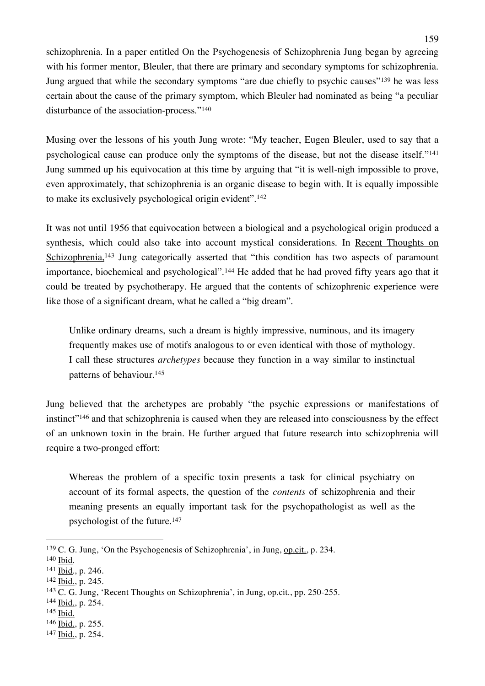schizophrenia. In a paper entitled On the Psychogenesis of Schizophrenia Jung began by agreeing with his former mentor, Bleuler, that there are primary and secondary symptoms for schizophrenia. Jung argued that while the secondary symptoms "are due chiefly to psychic causes"<sup>139</sup> he was less certain about the cause of the primary symptom, which Bleuler had nominated as being "a peculiar disturbance of the association-process."140

Musing over the lessons of his youth Jung wrote: "My teacher, Eugen Bleuler, used to say that a psychological cause can produce only the symptoms of the disease, but not the disease itself."141 Jung summed up his equivocation at this time by arguing that "it is well-nigh impossible to prove, even approximately, that schizophrenia is an organic disease to begin with. It is equally impossible to make its exclusively psychological origin evident". 142

It was not until 1956 that equivocation between a biological and a psychological origin produced a synthesis, which could also take into account mystical considerations. In Recent Thoughts on Schizophrenia,<sup>143</sup> Jung categorically asserted that "this condition has two aspects of paramount importance, biochemical and psychological".144 He added that he had proved fifty years ago that it could be treated by psychotherapy. He argued that the contents of schizophrenic experience were like those of a significant dream, what he called a "big dream".

Unlike ordinary dreams, such a dream is highly impressive, numinous, and its imagery frequently makes use of motifs analogous to or even identical with those of mythology. I call these structures *archetypes* because they function in a way similar to instinctual patterns of behaviour. 145

Jung believed that the archetypes are probably "the psychic expressions or manifestations of instinct"146 and that schizophrenia is caused when they are released into consciousness by the effect of an unknown toxin in the brain. He further argued that future research into schizophrenia will require a two-pronged effort:

Whereas the problem of a specific toxin presents a task for clinical psychiatry on account of its formal aspects, the question of the *contents* of schizophrenia and their meaning presents an equally important task for the psychopathologist as well as the psychologist of the future. 147

- <sup>144</sup> Ibid., p. 254.
- <sup>145</sup> Ibid.

 <sup>139</sup> C. G. Jung, 'On the Psychogenesis of Schizophrenia', in Jung, op.cit., p. 234.

<sup>140</sup> Ibid.

<sup>141</sup> Ibid., p. 246.

 $142$  Ibid., p. 245.

<sup>143</sup> C. G. Jung, 'Recent Thoughts on Schizophrenia', in Jung, op.cit., pp. 250-255.

<sup>146</sup> Ibid., p. 255.

<sup>147</sup> Ibid., p. 254.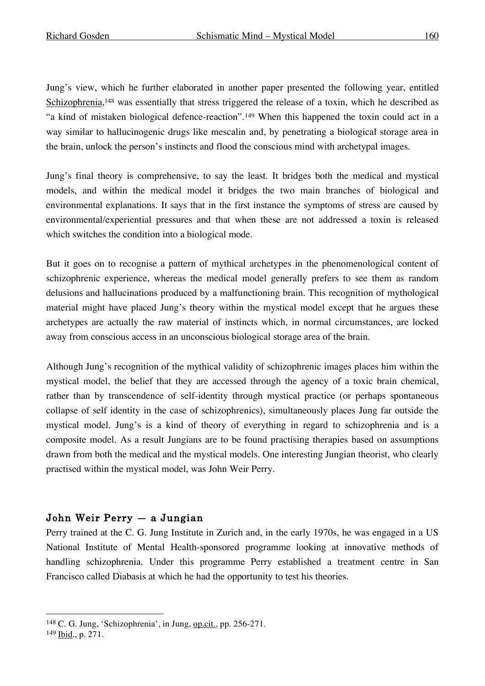Jung's view, which he further elaborated in another paper presented the following year, entitled Schizophrenia,<sup>148</sup> was essentially that stress triggered the release of a toxin, which he described as "a kind of mistaken biological defence-reaction".149 When this happened the toxin could act in a way similar to hallucinogenic drugs like mescalin and, by penetrating a biological storage area in the brain, unlock the person's instincts and flood the conscious mind with archetypal images.

Jung's final theory is comprehensive, to say the least. It bridges both the medical and mystical models, and within the medical model it bridges the two main branches of biological and environmental explanations. It says that in the first instance the symptoms of stress are caused by environmental/experiential pressures and that when these are not addressed a toxin is released which switches the condition into a biological mode.

But it goes on to recognise a pattern of mythical archetypes in the phenomenological content of schizophrenic experience, whereas the medical model generally prefers to see them as random delusions and hallucinations produced by a malfunctioning brain. This recognition of mythological material might have placed Jung's theory within the mystical model except that he argues these archetypes are actually the raw material of instincts which, in normal circumstances, are locked away from conscious access in an unconscious biological storage area of the brain.

Although Jung's recognition of the mythical validity of schizophrenic images places him within the mystical model, the belief that they are accessed through the agency of a toxic brain chemical, rather than by transcendence of self-identity through mystical practice (or perhaps spontaneous collapse of self identity in the case of schizophrenics), simultaneously places Jung far outside the mystical model. Jung's is a kind of theory of everything in regard to schizophrenia and is a composite model. As a result Jungians are to be found practising therapies based on assumptions drawn from both the medical and the mystical models. One interesting Jungian theorist, who clearly practised within the mystical model, was John Weir Perry.

# John Weir Perry — a Jungian

Perry trained at the C. G. Jung Institute in Zurich and, in the early 1970s, he was engaged in a US National Institute of Mental Health-sponsored programme looking at innovative methods of handling schizophrenia. Under this programme Perry established a treatment centre in San Francisco called Diabasis at which he had the opportunity to test his theories.

 <sup>148</sup> C. G. Jung, 'Schizophrenia', in Jung, op.cit., pp. 256-271.

<sup>149</sup> Ibid., p. 271.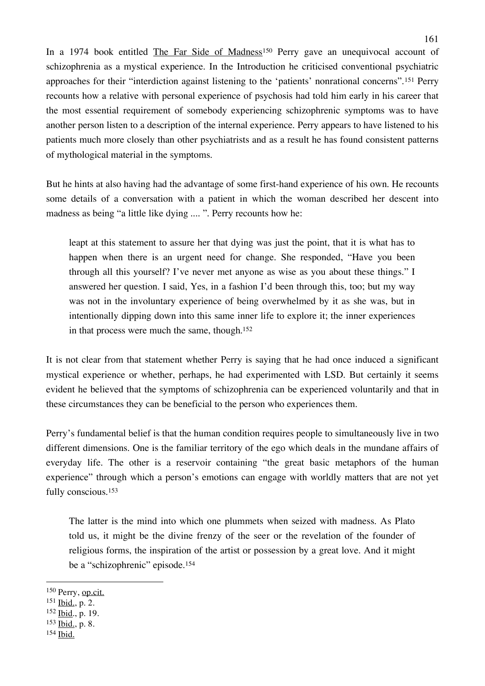In a 1974 book entitled The Far Side of Madness<sup>150</sup> Perry gave an unequivocal account of schizophrenia as a mystical experience. In the Introduction he criticised conventional psychiatric approaches for their "interdiction against listening to the 'patients' nonrational concerns".151 Perry recounts how a relative with personal experience of psychosis had told him early in his career that the most essential requirement of somebody experiencing schizophrenic symptoms was to have another person listen to a description of the internal experience. Perry appears to have listened to his patients much more closely than other psychiatrists and as a result he has found consistent patterns of mythological material in the symptoms.

But he hints at also having had the advantage of some first-hand experience of his own. He recounts some details of a conversation with a patient in which the woman described her descent into madness as being "a little like dying .... ". Perry recounts how he:

leapt at this statement to assure her that dying was just the point, that it is what has to happen when there is an urgent need for change. She responded, "Have you been through all this yourself? I've never met anyone as wise as you about these things." I answered her question. I said, Yes, in a fashion I'd been through this, too; but my way was not in the involuntary experience of being overwhelmed by it as she was, but in intentionally dipping down into this same inner life to explore it; the inner experiences in that process were much the same, though. 152

It is not clear from that statement whether Perry is saying that he had once induced a significant mystical experience or whether, perhaps, he had experimented with LSD. But certainly it seems evident he believed that the symptoms of schizophrenia can be experienced voluntarily and that in these circumstances they can be beneficial to the person who experiences them.

Perry's fundamental belief is that the human condition requires people to simultaneously live in two different dimensions. One is the familiar territory of the ego which deals in the mundane affairs of everyday life. The other is a reservoir containing "the great basic metaphors of the human experience" through which a person's emotions can engage with worldly matters that are not yet fully conscious.<sup>153</sup>

The latter is the mind into which one plummets when seized with madness. As Plato told us, it might be the divine frenzy of the seer or the revelation of the founder of religious forms, the inspiration of the artist or possession by a great love. And it might be a "schizophrenic" episode.154

- <sup>152</sup> Ibid., p. 19.
- <sup>153</sup> Ibid., p. 8.
- 154 Ibid.

<sup>150</sup> Perry, op.cit.

 $151$  Ibid., p. 2.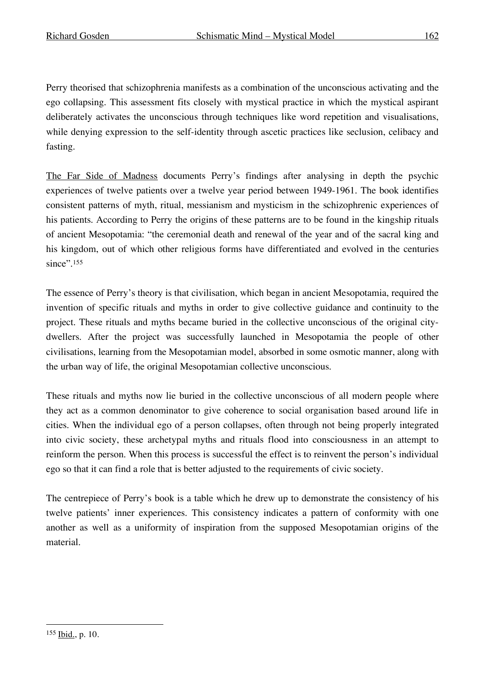Perry theorised that schizophrenia manifests as a combination of the unconscious activating and the ego collapsing. This assessment fits closely with mystical practice in which the mystical aspirant deliberately activates the unconscious through techniques like word repetition and visualisations, while denying expression to the self-identity through ascetic practices like seclusion, celibacy and fasting.

The Far Side of Madness documents Perry's findings after analysing in depth the psychic experiences of twelve patients over a twelve year period between 1949-1961. The book identifies consistent patterns of myth, ritual, messianism and mysticism in the schizophrenic experiences of his patients. According to Perry the origins of these patterns are to be found in the kingship rituals of ancient Mesopotamia: "the ceremonial death and renewal of the year and of the sacral king and his kingdom, out of which other religious forms have differentiated and evolved in the centuries since".<sup>155</sup>

The essence of Perry's theory is that civilisation, which began in ancient Mesopotamia, required the invention of specific rituals and myths in order to give collective guidance and continuity to the project. These rituals and myths became buried in the collective unconscious of the original citydwellers. After the project was successfully launched in Mesopotamia the people of other civilisations, learning from the Mesopotamian model, absorbed in some osmotic manner, along with the urban way of life, the original Mesopotamian collective unconscious.

These rituals and myths now lie buried in the collective unconscious of all modern people where they act as a common denominator to give coherence to social organisation based around life in cities. When the individual ego of a person collapses, often through not being properly integrated into civic society, these archetypal myths and rituals flood into consciousness in an attempt to reinform the person. When this process is successful the effect is to reinvent the person's individual ego so that it can find a role that is better adjusted to the requirements of civic society.

The centrepiece of Perry's book is a table which he drew up to demonstrate the consistency of his twelve patients' inner experiences. This consistency indicates a pattern of conformity with one another as well as a uniformity of inspiration from the supposed Mesopotamian origins of the material.

 <sup>155</sup> Ibid., p. 10.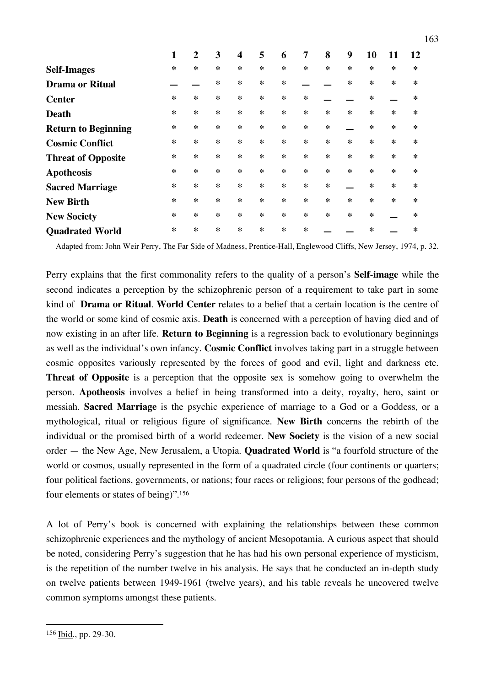|                            | 1      | $\overline{2}$ | 3      | $\overline{\mathbf{4}}$ | 5      | 6 | 7      | 8      | 9       | 10     | 11 | 12     |
|----------------------------|--------|----------------|--------|-------------------------|--------|---|--------|--------|---------|--------|----|--------|
| <b>Self-Images</b>         | $\ast$ | ∗              | $\ast$ | ∗                       | *      | ∗ | ∗      | $\ast$ | $\ast$  | *      | ∗  | $\ast$ |
| <b>Drama or Ritual</b>     |        |                | ∗      | ∗                       | ∗      | ∗ |        |        | $\ast$  | $\ast$ | ∗  | ∗      |
| <b>Center</b>              | $\ast$ | $\ast$         | $\ast$ | ∗                       | *      | ∗ | ∗      |        |         | $\ast$ |    | ∗      |
| <b>Death</b>               | $\ast$ | ∗              | $\ast$ | ∗                       | *      | ∗ | ∗      | $\ast$ | $\ast$  | $\ast$ | ∗  | ∗      |
| <b>Return to Beginning</b> | $\ast$ | ∗              | $\ast$ | ∗                       | *      | ∗ | $\ast$ | $\ast$ |         | $\ast$ | ∗  | $\ast$ |
| <b>Cosmic Conflict</b>     | $\ast$ | ∗              | $\ast$ | ∗                       | *      | ∗ | ∗      | $\ast$ | $\ast$  | $\ast$ | ∗  | $\ast$ |
| <b>Threat of Opposite</b>  | $\ast$ | ∗              | ∗      | ∗                       | *      | ∗ | ∗      | $\ast$ | $\ast$  | $\ast$ | ∗  | ∗      |
| <b>Apotheosis</b>          | $\ast$ | ∗              | $\ast$ | ∗                       | *      | ∗ | ∗      | $\ast$ | $\ast$  | $\ast$ | ∗  | ∗      |
| <b>Sacred Marriage</b>     | $\ast$ | $\ast$         | $\ast$ | ∗                       | *      | ∗ | $\ast$ | $\ast$ |         | $\ast$ | ∗  | $\ast$ |
| <b>New Birth</b>           | $\ast$ | ∗              | ∗      | ∗                       | *      | ∗ | $\ast$ | $\ast$ | $\ast$  | $\ast$ | ∗  | $\ast$ |
| <b>New Society</b>         | $\ast$ | ∗              | $\ast$ | ∗                       | $\ast$ | ∗ | $\ast$ | $\ast$ | $\star$ | $\ast$ |    | $\ast$ |
| <b>Quadrated World</b>     | $\ast$ | ∗              | $\ast$ | ∗                       | ∗      | ∗ | $\ast$ |        |         | $\ast$ |    | ∗      |

Adapted from: John Weir Perry, The Far Side of Madness, Prentice-Hall, Englewood Cliffs, New Jersey, 1974, p. 32.

Perry explains that the first commonality refers to the quality of a person's **Self-image** while the second indicates a perception by the schizophrenic person of a requirement to take part in some kind of **Drama or Ritual**. **World Center** relates to a belief that a certain location is the centre of the world or some kind of cosmic axis. **Death** is concerned with a perception of having died and of now existing in an after life. **Return to Beginning** is a regression back to evolutionary beginnings as well as the individual's own infancy. **Cosmic Conflict** involves taking part in a struggle between cosmic opposites variously represented by the forces of good and evil, light and darkness etc. **Threat of Opposite** is a perception that the opposite sex is somehow going to overwhelm the person. **Apotheosis** involves a belief in being transformed into a deity, royalty, hero, saint or messiah. **Sacred Marriage** is the psychic experience of marriage to a God or a Goddess, or a mythological, ritual or religious figure of significance. **New Birth** concerns the rebirth of the individual or the promised birth of a world redeemer. **New Society** is the vision of a new social order — the New Age, New Jerusalem, a Utopia. **Quadrated World** is "a fourfold structure of the world or cosmos, usually represented in the form of a quadrated circle (four continents or quarters; four political factions, governments, or nations; four races or religions; four persons of the godhead; four elements or states of being)". 156

A lot of Perry's book is concerned with explaining the relationships between these common schizophrenic experiences and the mythology of ancient Mesopotamia. A curious aspect that should be noted, considering Perry's suggestion that he has had his own personal experience of mysticism, is the repetition of the number twelve in his analysis. He says that he conducted an in-depth study on twelve patients between 1949-1961 (twelve years), and his table reveals he uncovered twelve common symptoms amongst these patients.

 <sup>156</sup> Ibid., pp. 29-30.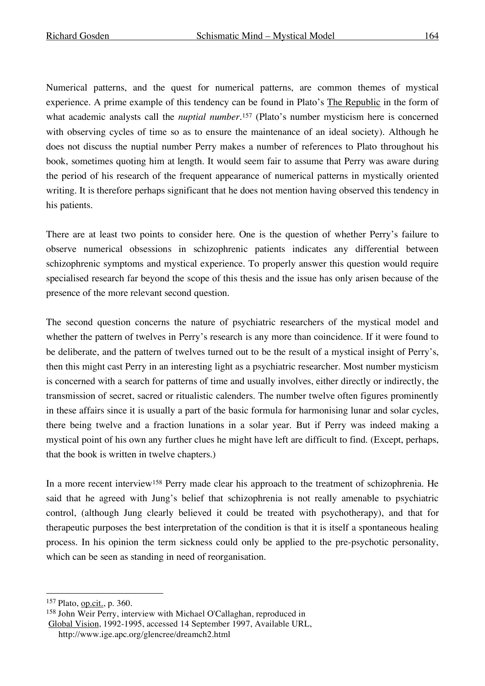Numerical patterns, and the quest for numerical patterns, are common themes of mystical experience. A prime example of this tendency can be found in Plato's The Republic in the form of what academic analysts call the *nuptial number*.157 (Plato's number mysticism here is concerned with observing cycles of time so as to ensure the maintenance of an ideal society). Although he does not discuss the nuptial number Perry makes a number of references to Plato throughout his book, sometimes quoting him at length. It would seem fair to assume that Perry was aware during the period of his research of the frequent appearance of numerical patterns in mystically oriented writing. It is therefore perhaps significant that he does not mention having observed this tendency in his patients.

There are at least two points to consider here. One is the question of whether Perry's failure to observe numerical obsessions in schizophrenic patients indicates any differential between schizophrenic symptoms and mystical experience. To properly answer this question would require specialised research far beyond the scope of this thesis and the issue has only arisen because of the presence of the more relevant second question.

The second question concerns the nature of psychiatric researchers of the mystical model and whether the pattern of twelves in Perry's research is any more than coincidence. If it were found to be deliberate, and the pattern of twelves turned out to be the result of a mystical insight of Perry's, then this might cast Perry in an interesting light as a psychiatric researcher. Most number mysticism is concerned with a search for patterns of time and usually involves, either directly or indirectly, the transmission of secret, sacred or ritualistic calenders. The number twelve often figures prominently in these affairs since it is usually a part of the basic formula for harmonising lunar and solar cycles, there being twelve and a fraction lunations in a solar year. But if Perry was indeed making a mystical point of his own any further clues he might have left are difficult to find. (Except, perhaps, that the book is written in twelve chapters.)

In a more recent interview<sup>158</sup> Perry made clear his approach to the treatment of schizophrenia. He said that he agreed with Jung's belief that schizophrenia is not really amenable to psychiatric control, (although Jung clearly believed it could be treated with psychotherapy), and that for therapeutic purposes the best interpretation of the condition is that it is itself a spontaneous healing process. In his opinion the term sickness could only be applied to the pre-psychotic personality, which can be seen as standing in need of reorganisation.

 <sup>157</sup> Plato, op.cit., p. 360.

<sup>158</sup> John Weir Perry, interview with Michael O'Callaghan, reproduced in Global Vision, 1992-1995, accessed 14 September 1997, Available URL,

http://www.ige.apc.org/glencree/dreamch2.html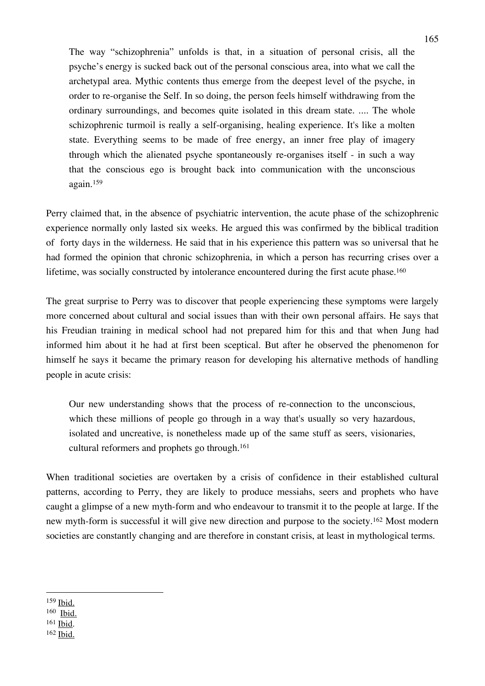The way "schizophrenia" unfolds is that, in a situation of personal crisis, all the psyche's energy is sucked back out of the personal conscious area, into what we call the archetypal area. Mythic contents thus emerge from the deepest level of the psyche, in order to re-organise the Self. In so doing, the person feels himself withdrawing from the ordinary surroundings, and becomes quite isolated in this dream state. .... The whole schizophrenic turmoil is really a self-organising, healing experience. It's like a molten state. Everything seems to be made of free energy, an inner free play of imagery through which the alienated psyche spontaneously re-organises itself - in such a way that the conscious ego is brought back into communication with the unconscious again.159

Perry claimed that, in the absence of psychiatric intervention, the acute phase of the schizophrenic experience normally only lasted six weeks. He argued this was confirmed by the biblical tradition of forty days in the wilderness. He said that in his experience this pattern was so universal that he had formed the opinion that chronic schizophrenia, in which a person has recurring crises over a lifetime, was socially constructed by intolerance encountered during the first acute phase.<sup>160</sup>

The great surprise to Perry was to discover that people experiencing these symptoms were largely more concerned about cultural and social issues than with their own personal affairs. He says that his Freudian training in medical school had not prepared him for this and that when Jung had informed him about it he had at first been sceptical. But after he observed the phenomenon for himself he says it became the primary reason for developing his alternative methods of handling people in acute crisis:

Our new understanding shows that the process of re-connection to the unconscious, which these millions of people go through in a way that's usually so very hazardous, isolated and uncreative, is nonetheless made up of the same stuff as seers, visionaries, cultural reformers and prophets go through.161

When traditional societies are overtaken by a crisis of confidence in their established cultural patterns, according to Perry, they are likely to produce messiahs, seers and prophets who have caught a glimpse of a new myth-form and who endeavour to transmit it to the people at large. If the new myth-form is successful it will give new direction and purpose to the society.162 Most modern societies are constantly changing and are therefore in constant crisis, at least in mythological terms.

 <sup>159</sup> Ibid.

<sup>160</sup> Ibid.

<sup>161</sup> Ibid.

 $162$  Ibid.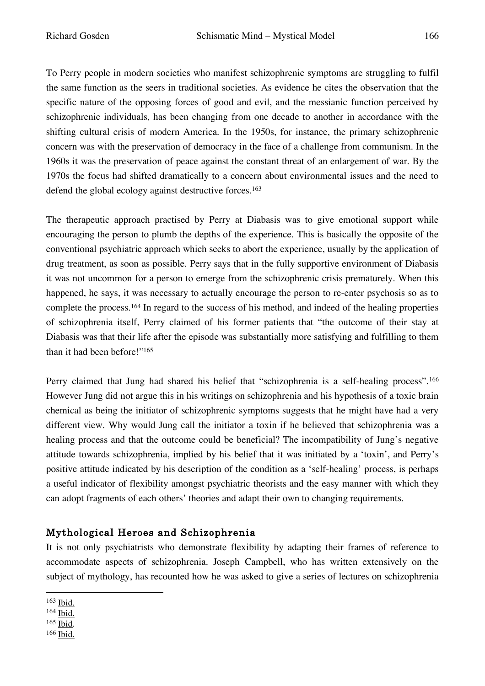To Perry people in modern societies who manifest schizophrenic symptoms are struggling to fulfil the same function as the seers in traditional societies. As evidence he cites the observation that the specific nature of the opposing forces of good and evil, and the messianic function perceived by schizophrenic individuals, has been changing from one decade to another in accordance with the shifting cultural crisis of modern America. In the 1950s, for instance, the primary schizophrenic concern was with the preservation of democracy in the face of a challenge from communism. In the 1960s it was the preservation of peace against the constant threat of an enlargement of war. By the 1970s the focus had shifted dramatically to a concern about environmental issues and the need to defend the global ecology against destructive forces. 163

The therapeutic approach practised by Perry at Diabasis was to give emotional support while encouraging the person to plumb the depths of the experience. This is basically the opposite of the conventional psychiatric approach which seeks to abort the experience, usually by the application of drug treatment, as soon as possible. Perry says that in the fully supportive environment of Diabasis it was not uncommon for a person to emerge from the schizophrenic crisis prematurely. When this happened, he says, it was necessary to actually encourage the person to re-enter psychosis so as to complete the process. <sup>164</sup> In regard to the success of his method, and indeed of the healing properties of schizophrenia itself, Perry claimed of his former patients that "the outcome of their stay at Diabasis was that their life after the episode was substantially more satisfying and fulfilling to them than it had been before!"165

Perry claimed that Jung had shared his belief that "schizophrenia is a self-healing process".<sup>166</sup> However Jung did not argue this in his writings on schizophrenia and his hypothesis of a toxic brain chemical as being the initiator of schizophrenic symptoms suggests that he might have had a very different view. Why would Jung call the initiator a toxin if he believed that schizophrenia was a healing process and that the outcome could be beneficial? The incompatibility of Jung's negative attitude towards schizophrenia, implied by his belief that it was initiated by a 'toxin', and Perry's positive attitude indicated by his description of the condition as a 'self-healing' process, is perhaps a useful indicator of flexibility amongst psychiatric theorists and the easy manner with which they can adopt fragments of each others' theories and adapt their own to changing requirements.

# Mythological Heroes and Schizophrenia

It is not only psychiatrists who demonstrate flexibility by adapting their frames of reference to accommodate aspects of schizophrenia. Joseph Campbell, who has written extensively on the subject of mythology, has recounted how he was asked to give a series of lectures on schizophrenia

- 163 Ibid.
- <sup>164</sup> Ibid.
- <sup>165</sup> Ibid.
- <sup>166</sup> Ibid.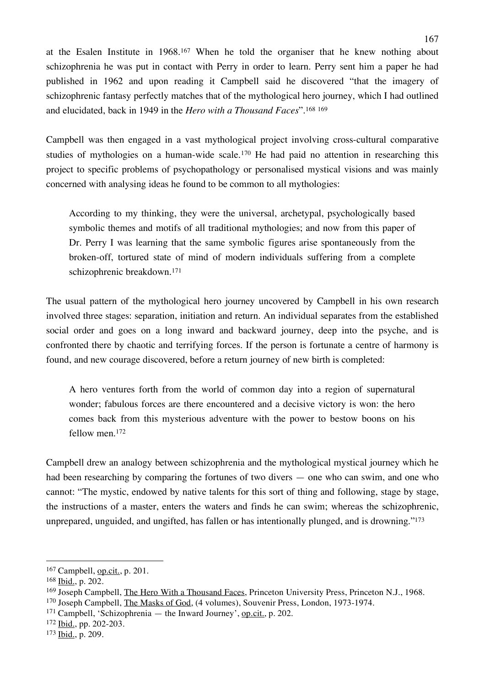at the Esalen Institute in 1968.167 When he told the organiser that he knew nothing about schizophrenia he was put in contact with Perry in order to learn. Perry sent him a paper he had published in 1962 and upon reading it Campbell said he discovered "that the imagery of schizophrenic fantasy perfectly matches that of the mythological hero journey, which I had outlined and elucidated, back in 1949 in the *Hero with a Thousand Faces*". 168 169

Campbell was then engaged in a vast mythological project involving cross-cultural comparative studies of mythologies on a human-wide scale.<sup>170</sup> He had paid no attention in researching this project to specific problems of psychopathology or personalised mystical visions and was mainly concerned with analysing ideas he found to be common to all mythologies:

According to my thinking, they were the universal, archetypal, psychologically based symbolic themes and motifs of all traditional mythologies; and now from this paper of Dr. Perry I was learning that the same symbolic figures arise spontaneously from the broken-off, tortured state of mind of modern individuals suffering from a complete schizophrenic breakdown.171

The usual pattern of the mythological hero journey uncovered by Campbell in his own research involved three stages: separation, initiation and return. An individual separates from the established social order and goes on a long inward and backward journey, deep into the psyche, and is confronted there by chaotic and terrifying forces. If the person is fortunate a centre of harmony is found, and new courage discovered, before a return journey of new birth is completed:

A hero ventures forth from the world of common day into a region of supernatural wonder; fabulous forces are there encountered and a decisive victory is won: the hero comes back from this mysterious adventure with the power to bestow boons on his fellow men.172

Campbell drew an analogy between schizophrenia and the mythological mystical journey which he had been researching by comparing the fortunes of two divers — one who can swim, and one who cannot: "The mystic, endowed by native talents for this sort of thing and following, stage by stage, the instructions of a master, enters the waters and finds he can swim; whereas the schizophrenic, unprepared, unguided, and ungifted, has fallen or has intentionally plunged, and is drowning."173

<sup>172</sup> Ibid., pp. 202-203.

 <sup>167</sup> Campbell, op.cit., p. 201.

<sup>168</sup> Ibid., p. 202.

<sup>&</sup>lt;sup>169</sup> Joseph Campbell, The Hero With a Thousand Faces, Princeton University Press, Princeton N.J., 1968. <sup>170</sup> Joseph Campbell, The Masks of God, (4 volumes), Souvenir Press, London, 1973-1974.

 $171$  Campbell, 'Schizophrenia — the Inward Journey', op.cit., p. 202.

<sup>173</sup> Ibid., p. 209.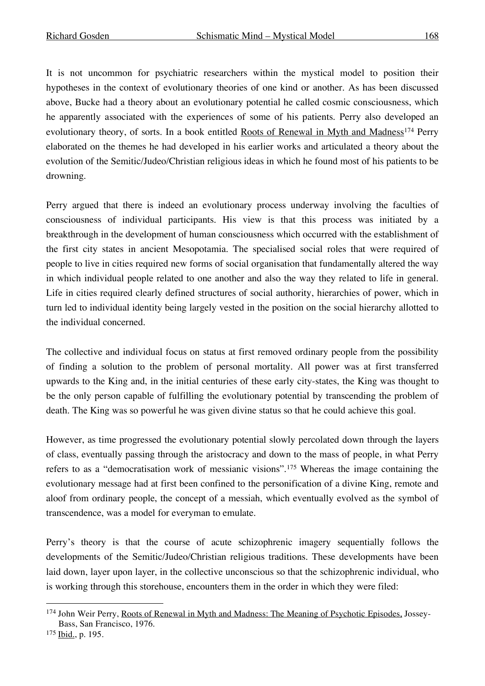It is not uncommon for psychiatric researchers within the mystical model to position their hypotheses in the context of evolutionary theories of one kind or another. As has been discussed above, Bucke had a theory about an evolutionary potential he called cosmic consciousness, which he apparently associated with the experiences of some of his patients. Perry also developed an evolutionary theory, of sorts. In a book entitled Roots of Renewal in Myth and Madness<sup>174</sup> Perry elaborated on the themes he had developed in his earlier works and articulated a theory about the evolution of the Semitic/Judeo/Christian religious ideas in which he found most of his patients to be drowning.

Perry argued that there is indeed an evolutionary process underway involving the faculties of consciousness of individual participants. His view is that this process was initiated by a breakthrough in the development of human consciousness which occurred with the establishment of the first city states in ancient Mesopotamia. The specialised social roles that were required of people to live in cities required new forms of social organisation that fundamentally altered the way in which individual people related to one another and also the way they related to life in general. Life in cities required clearly defined structures of social authority, hierarchies of power, which in turn led to individual identity being largely vested in the position on the social hierarchy allotted to the individual concerned.

The collective and individual focus on status at first removed ordinary people from the possibility of finding a solution to the problem of personal mortality. All power was at first transferred upwards to the King and, in the initial centuries of these early city-states, the King was thought to be the only person capable of fulfilling the evolutionary potential by transcending the problem of death. The King was so powerful he was given divine status so that he could achieve this goal.

However, as time progressed the evolutionary potential slowly percolated down through the layers of class, eventually passing through the aristocracy and down to the mass of people, in what Perry refers to as a "democratisation work of messianic visions".175 Whereas the image containing the evolutionary message had at first been confined to the personification of a divine King, remote and aloof from ordinary people, the concept of a messiah, which eventually evolved as the symbol of transcendence, was a model for everyman to emulate.

Perry's theory is that the course of acute schizophrenic imagery sequentially follows the developments of the Semitic/Judeo/Christian religious traditions. These developments have been laid down, layer upon layer, in the collective unconscious so that the schizophrenic individual, who is working through this storehouse, encounters them in the order in which they were filed:

 <sup>174</sup> John Weir Perry, Roots of Renewal in Myth and Madness: The Meaning of Psychotic Episodes, Jossey-Bass, San Francisco, 1976.

<sup>175</sup> Ibid., p. 195.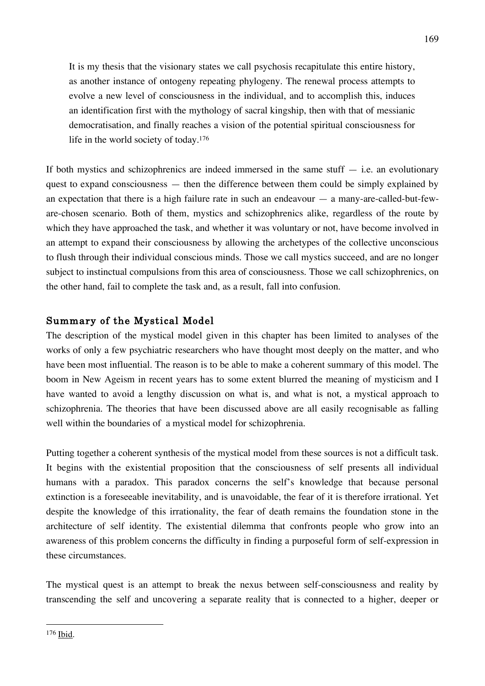It is my thesis that the visionary states we call psychosis recapitulate this entire history, as another instance of ontogeny repeating phylogeny. The renewal process attempts to evolve a new level of consciousness in the individual, and to accomplish this, induces an identification first with the mythology of sacral kingship, then with that of messianic democratisation, and finally reaches a vision of the potential spiritual consciousness for life in the world society of today.176

If both mystics and schizophrenics are indeed immersed in the same stuff  $-$  i.e. an evolutionary quest to expand consciousness — then the difference between them could be simply explained by an expectation that there is a high failure rate in such an endeavour — a many-are-called-but-feware-chosen scenario. Both of them, mystics and schizophrenics alike, regardless of the route by which they have approached the task, and whether it was voluntary or not, have become involved in an attempt to expand their consciousness by allowing the archetypes of the collective unconscious to flush through their individual conscious minds. Those we call mystics succeed, and are no longer subject to instinctual compulsions from this area of consciousness. Those we call schizophrenics, on the other hand, fail to complete the task and, as a result, fall into confusion.

### Summary of the Mystical Model

The description of the mystical model given in this chapter has been limited to analyses of the works of only a few psychiatric researchers who have thought most deeply on the matter, and who have been most influential. The reason is to be able to make a coherent summary of this model. The boom in New Ageism in recent years has to some extent blurred the meaning of mysticism and I have wanted to avoid a lengthy discussion on what is, and what is not, a mystical approach to schizophrenia. The theories that have been discussed above are all easily recognisable as falling well within the boundaries of a mystical model for schizophrenia.

Putting together a coherent synthesis of the mystical model from these sources is not a difficult task. It begins with the existential proposition that the consciousness of self presents all individual humans with a paradox. This paradox concerns the self's knowledge that because personal extinction is a foreseeable inevitability, and is unavoidable, the fear of it is therefore irrational. Yet despite the knowledge of this irrationality, the fear of death remains the foundation stone in the architecture of self identity. The existential dilemma that confronts people who grow into an awareness of this problem concerns the difficulty in finding a purposeful form of self-expression in these circumstances.

The mystical quest is an attempt to break the nexus between self-consciousness and reality by transcending the self and uncovering a separate reality that is connected to a higher, deeper or

<sup>169</sup>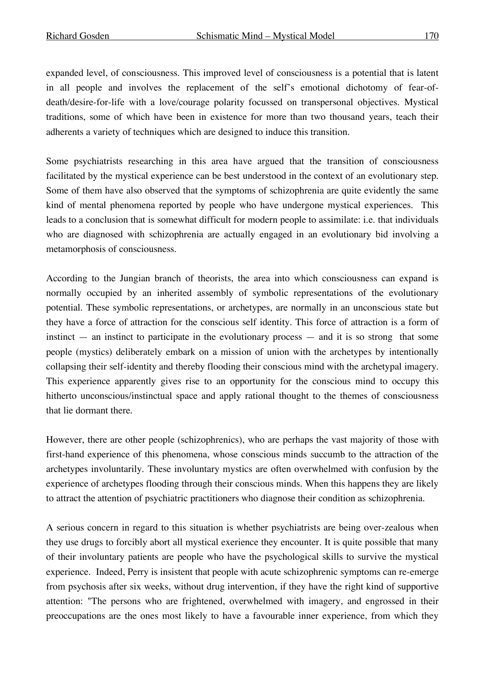expanded level, of consciousness. This improved level of consciousness is a potential that is latent in all people and involves the replacement of the self's emotional dichotomy of fear-ofdeath/desire-for-life with a love/courage polarity focussed on transpersonal objectives. Mystical traditions, some of which have been in existence for more than two thousand years, teach their adherents a variety of techniques which are designed to induce this transition.

Some psychiatrists researching in this area have argued that the transition of consciousness facilitated by the mystical experience can be best understood in the context of an evolutionary step. Some of them have also observed that the symptoms of schizophrenia are quite evidently the same kind of mental phenomena reported by people who have undergone mystical experiences. This leads to a conclusion that is somewhat difficult for modern people to assimilate: i.e. that individuals who are diagnosed with schizophrenia are actually engaged in an evolutionary bid involving a metamorphosis of consciousness.

According to the Jungian branch of theorists, the area into which consciousness can expand is normally occupied by an inherited assembly of symbolic representations of the evolutionary potential. These symbolic representations, or archetypes, are normally in an unconscious state but they have a force of attraction for the conscious self identity. This force of attraction is a form of instinct  $-$  an instinct to participate in the evolutionary process  $-$  and it is so strong that some people (mystics) deliberately embark on a mission of union with the archetypes by intentionally collapsing their self-identity and thereby flooding their conscious mind with the archetypal imagery. This experience apparently gives rise to an opportunity for the conscious mind to occupy this hitherto unconscious/instinctual space and apply rational thought to the themes of consciousness that lie dormant there.

However, there are other people (schizophrenics), who are perhaps the vast majority of those with first-hand experience of this phenomena, whose conscious minds succumb to the attraction of the archetypes involuntarily. These involuntary mystics are often overwhelmed with confusion by the experience of archetypes flooding through their conscious minds. When this happens they are likely to attract the attention of psychiatric practitioners who diagnose their condition as schizophrenia.

A serious concern in regard to this situation is whether psychiatrists are being over-zealous when they use drugs to forcibly abort all mystical exerience they encounter. It is quite possible that many of their involuntary patients are people who have the psychological skills to survive the mystical experience. Indeed, Perry is insistent that people with acute schizophrenic symptoms can re-emerge from psychosis after six weeks, without drug intervention, if they have the right kind of supportive attention: "The persons who are frightened, overwhelmed with imagery, and engrossed in their preoccupations are the ones most likely to have a favourable inner experience, from which they